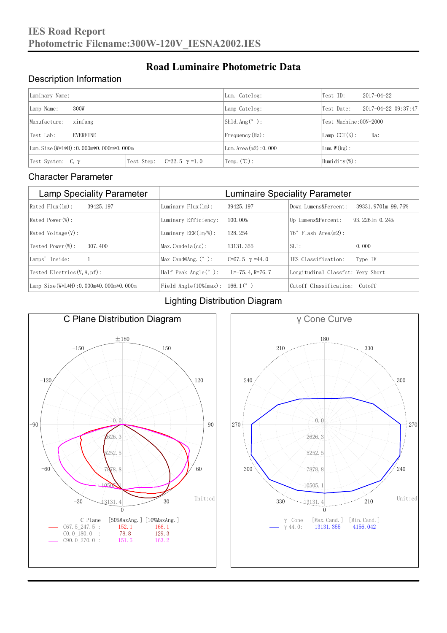### Description Information

| Luminary Name:                          |                                     | Lum. Catelog:            | Test ID:               | 2017-04-22 |  |
|-----------------------------------------|-------------------------------------|--------------------------|------------------------|------------|--|
| 300W<br>Lamp Name:                      | Lamp Catelog:                       | Test Date:               | 2017-04-22 09:37:47    |            |  |
| Manufacture:<br>xinfang                 |                                     | $\vert$ Sh1d. Ang (° ):  | Test Machine: GON-2000 |            |  |
| EVERFINE<br>Test Lab:                   |                                     | $Frequency(Hz)$ :        | $Lamp$ CCT $(K):$      | Ra:        |  |
| Lum. Size (W*L*H): 0.000m*0.000m*0.000m |                                     | Lum. Area $(m2)$ : 0.000 | Lum. $W(kg)$ :         |            |  |
| Test System: $C, \gamma$                | Test Step:<br>$C=22.5$ $\gamma=1.0$ | Temp. $(\mathbb{C})$ :   | Humidity $(\%)$ :      |            |  |

**Road Luminaire Photometric Data**

#### Character Parameter

| <b>Lamp Speciality Parameter</b>       | <b>Luminaire Speciality Parameter</b>                               |                          |                                   |                    |  |
|----------------------------------------|---------------------------------------------------------------------|--------------------------|-----------------------------------|--------------------|--|
| Rated Flux(1m):<br>39425, 197          | Luminary $Flux(ln)$ :                                               | 39425, 197               | Down Lumens&Percent:              | 39331.9701m 99.76% |  |
| Rated Power (W):                       | Luminary Efficiency:                                                | 100.00%                  | Up Lumens&Percent:                | $93.2261m$ 0.24%   |  |
| $Rated$ Voltage $(V)$ :                | Luminary $EER(\ln/W)$ :                                             | 128, 254                 | $76°$ Flash Area $(m2)$ :         |                    |  |
| Tested Power(W):<br>307, 400           | $Max. Candela(cd)$ :                                                | 13131, 355               | $SLI$ :                           | 0.000              |  |
| Lamps' Inside:                         | Max Cand@Ang. $(°)$ :                                               | $C=67.5$ $\gamma = 44.0$ | TES Classification:               | Type IV            |  |
| Tested Electrics $(V, A, pf)$ :        | Half Peak Angle $(°)$ :                                             | L=-75. 4. R=76. 7        | Longitudinal Classfct: Very Short |                    |  |
| Lamp Size(W*L*H): 0.000m*0.000m*0.000m | Field Angle $(10\text{\%} \text{Im} \text{ax})$ : 166.1 $(^\circ$ ) |                          | Cutoff Classification: Cutoff     |                    |  |

#### Lighting Distribution Diagram



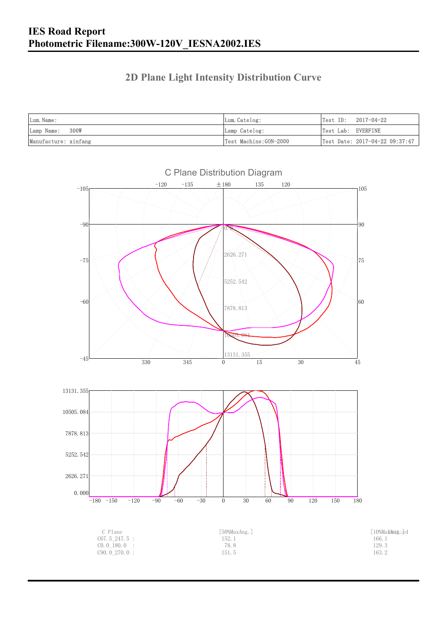### **2D Plane Light Intensity Distribution Curve**

| Lum. Name:           | Lum.Catelog:          | $Test ID: 2017-04-22$          |
|----------------------|-----------------------|--------------------------------|
| Lamp Name: 300W      | Lamp Catelog:         | Test Lab: EVERFINE             |
| Manufacture: xinfang | Test Machine:GON-2000 | Test Date: 2017-04-22 09:37:47 |

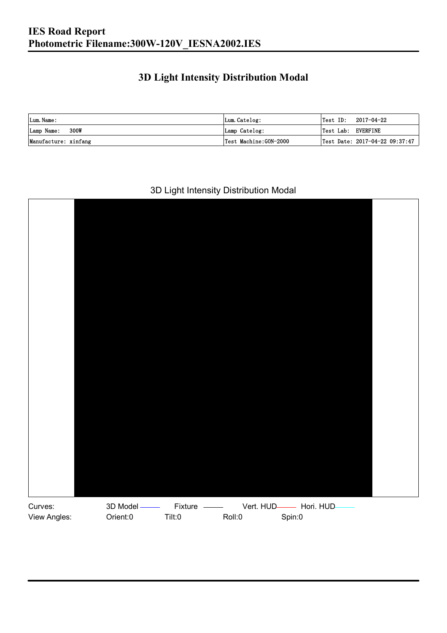### **3D Light Intensity Distribution Modal**

| Lum. Name:           | Lum.Catelog:          |                    | $\textsf{Test ID:} \quad 2017-04-22$ |
|----------------------|-----------------------|--------------------|--------------------------------------|
| Lamp Name: 300W      | Lamp Catelog:         | Test Lab: EVERFINE |                                      |
| Manufacture: xinfang | Test Machine:GON-2000 |                    | Test Date: 2017-04-22 09:37:47       |

#### 3D Light Intensity Distribution Modal

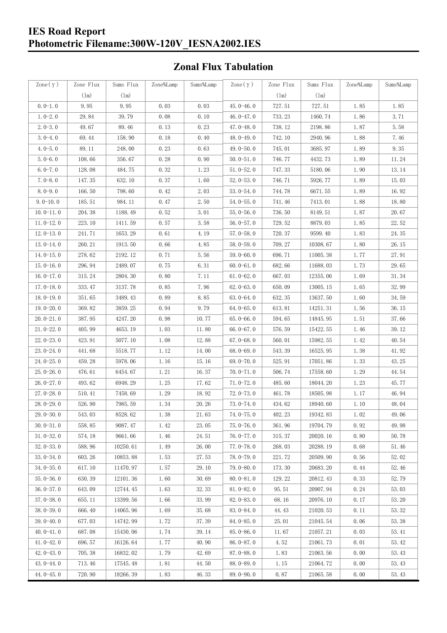#### **IES Road Report Photometric Filename:300W-120V\_IESNA2002.IES**

### **Zonal Flux Tabulation**

| $\text{Zone}(\gamma)$ | Zone Flux | Sums Flux | Zone%Lamp | Sums%Lamp | Zone $(\gamma)$ | Zone Flux | Sums Flux | Zone%Lamp | Sums%Lamp |
|-----------------------|-----------|-----------|-----------|-----------|-----------------|-----------|-----------|-----------|-----------|
|                       | (1m)      | (1m)      |           |           |                 | (1m)      | (1m)      |           |           |
| $0.0-1.0$             | 9.95      | 9.95      | 0.03      | 0.03      | 45.0-46.0       | 727.51    | 727.51    | 1.85      | 1.85      |
| $1.0 - 2.0$           | 29.84     | 39.79     | 0.08      | 0.10      | 46.0 $-47.0$    | 733.23    | 1460.74   | 1.86      | 3.71      |
| $2.0 - 3.0$           | 49.67     | 89.46     | 0.13      | 0.23      | 47.0-48.0       | 738.12    | 2198.86   | 1.87      | 5.58      |
| $3.0 - 4.0$           | 69.44     | 158.90    | 0.18      | 0.40      | 48.0-49.0       | 742.10    | 2940.96   | 1.88      | 7.46      |
| $4.0 - 5.0$           | 89.11     | 248.00    | 0.23      | 0.63      | 49.0 $-50.0$    | 745.01    | 3685.97   | 1.89      | 9.35      |
| $5.0 - 6.0$           | 108.66    | 356.67    | 0.28      | 0.90      | $50.0 - 51.0$   | 746.77    | 4432.73   | 1.89      | 11.24     |
| $6.0 - 7.0$           | 128.08    | 484.75    | 0.32      | 1.23      | $51.0 - 52.0$   | 747.33    | 5180.06   | 1.90      | 13.14     |
| $7.0 - 8.0$           | 147.35    | 632.10    | 0.37      | 1.60      | $52.0 - 53.0$   | 746.71    | 5926.77   | 1.89      | 15.03     |
| $8.0 - 9.0$           | 166.50    | 798.60    | 0.42      | 2.03      | $53.0 - 54.0$   | 744.78    | 6671.55   | 1.89      | 16.92     |
| $9.0 - 10.0$          | 185.51    | 984.11    | 0.47      | 2.50      | $54.0 - 55.0$   | 741.46    | 7413.01   | 1.88      | 18.80     |
| $10.0 - 11.0$         | 204.38    | 1188.49   | 0.52      | 3.01      | $55.0 - 56.0$   | 736.50    | 8149.51   | 1.87      | 20.67     |
| $11.0 - 12.0$         | 223.10    | 1411.59   | 0.57      | 3.58      | $56.0 - 57.0$   | 729.52    | 8879.03   | 1.85      | 22.52     |
| $12.0 - 13.0$         | 241.71    | 1653.29   | 0.61      | 4.19      | $57.0 - 58.0$   | 720.37    | 9599.40   | 1.83      | 24.35     |
| $13.0 - 14.0$         | 260.21    | 1913.50   | 0.66      | 4.85      | $58.0 - 59.0$   | 709.27    | 10308.67  | 1.80      | 26.15     |
| $14.0 - 15.0$         | 278.62    | 2192.12   | 0.71      | 5.56      | $59.0 - 60.0$   | 696.71    | 11005.38  | 1.77      | 27.91     |
| $15.0 - 16.0$         | 296.94    | 2489.07   | 0.75      | 6.31      | $60.0 - 61.0$   | 682.66    | 11688.03  | 1.73      | 29.65     |
| $16.0 - 17.0$         | 315.24    | 2804.30   | 0.80      | 7.11      | $61.0 - 62.0$   | 667.03    | 12355.06  | 1.69      | 31.34     |
| $17.0 - 18.0$         | 333.47    | 3137.78   | 0.85      | 7.96      | $62.0 - 63.0$   | 650.09    | 13005.15  | 1.65      | 32.99     |
| $18.0 - 19.0$         | 351.65    | 3489.43   | 0.89      | 8.85      | $63.0 - 64.0$   | 632.35    | 13637.50  | 1.60      | 34.59     |
| $19.0 - 20.0$         | 369.82    | 3859.25   | 0.94      | 9.79      | $64.0 - 65.0$   | 613.81    | 14251.31  | 1.56      | 36.15     |
| $20.0 - 21.0$         | 387.95    | 4247.20   | 0.98      | 10.77     | $65.0 - 66.0$   | 594.65    | 14845.95  | 1.51      | 37.66     |
| $21.0 - 22.0$         | 405.99    | 4653.19   | 1.03      | 11.80     | 66.0-67.0       | 576.59    | 15422.55  | 1.46      | 39.12     |
| $22.0 - 23.0$         | 423.91    | 5077.10   | 1.08      | 12.88     | $67.0 - 68.0$   | 560.01    | 15982.55  | 1.42      | 40.54     |
| $23.0 - 24.0$         | 441.68    | 5518.77   | 1.12      | 14.00     | $68.0 - 69.0$   | 543.39    | 16525.95  | 1.38      | 41.92     |
| $24.0 - 25.0$         | 459.28    | 5978.06   | 1.16      | 15.16     | 69.0 $-70.0$    | 525.91    | 17051.86  | 1.33      | 43.25     |
| $25.0 - 26.0$         | 476.61    | 6454.67   | 1.21      | 16.37     | $70.0 - 71.0$   | 506.74    | 17558.60  | 1.29      | 44.54     |
| $26.0 - 27.0$         | 493.62    | 6948.29   | 1.25      | 17.62     | $71.0 - 72.0$   | 485.60    | 18044.20  | 1.23      | 45.77     |
| $27.0 - 28.0$         | 510.41    | 7458.69   | 1.29      | 18.92     | $72.0 - 73.0$   | 461.78    | 18505.98  | 1.17      | 46.94     |
| 28.0-29.0             | 526.90    | 7985.59   | 1.34      | 20.26     | 73.0-74.0       | 434.62    | 18940.60  | 1.10      | 48.04     |
| $29.0 - 30.0$         | 543.03    | 8528.62   | 1.38      | 21.63     | 74.0-75.0       | 402.23    | 19342.83  | 1.02      | 49.06     |
| $30.0 - 31.0$         | 558.85    | 9087.47   | 1.42      | 23.05     | $75.0 - 76.0$   | 361.96    | 19704.79  | 0.92      | 49.98     |
| $31.0 - 32.0$         | 574.18    | 9661.66   | 1.46      | 24.51     | 76.0-77.0       | 315.37    | 20020.16  | 0.80      | 50.78     |
| $32.0 - 33.0$         | 588.96    | 10250.61  | 1.49      | 26.00     | $77.0 - 78.0$   | 268.03    | 20288.19  | 0.68      | 51.46     |
| $33.0 - 34.0$         | 603.26    | 10853.88  | 1.53      | 27.53     | $78.0 - 79.0$   | 221.72    | 20509.90  | 0.56      | 52.02     |
| $34.0 - 35.0$         | 617.10    | 11470.97  | 1.57      | 29.10     | 79.0-80.0       | 173.30    | 20683.20  | 0.44      | 52.46     |
| $35.0 - 36.0$         | 630.39    | 12101.36  | 1.60      | 30.69     | $80.0 - 81.0$   | 129.22    | 20812.43  | 0.33      | 52.79     |
| $36.0 - 37.0$         | 643.09    | 12744.45  | 1.63      | 32.33     | $81.0 - 82.0$   | 95.51     | 20907.94  | 0.24      | 53.03     |
| $37.0 - 38.0$         | 655.11    | 13399.56  | 1.66      | 33.99     | 82.0-83.0       | 68.16     | 20976.10  | 0.17      | 53.20     |
| $38,0-39,0$           | 666.40    | 14065.96  | 1.69      | 35.68     | 83.0-84.0       | 44.43     | 21020.53  | 0.11      | 53.32     |
| $39.0 - 40.0$         | 677.03    | 14742.99  | 1.72      | 37.39     | $84.0 - 85.0$   | 25.01     | 21045.54  | 0.06      | 53.38     |
| $40.0 - 41.0$         | 687.08    | 15430.06  | 1.74      | 39.14     | 85.0-86.0       | 11.67     | 21057.21  | 0.03      | 53.41     |
| $41.0 - 42.0$         | 696.57    | 16126.64  | 1.77      | 40.90     | 86.0-87.0       | 4.52      | 21061.73  | 0.01      | 53.42     |
| $42.0 - 43.0$         | 705.38    | 16832.02  | 1.79      | 42.69     | $87.0 - 88.0$   | 1.83      | 21063.56  | 0.00      | 53.43     |
| $43.0 - 44.0$         | 713.46    | 17545.48  | 1.81      | 44.50     | 88.0-89.0       | 1.15      | 21064.72  | 0.00      | 53.43     |
| $44.0 - 45.0$         | 720.90    | 18266.39  | 1.83      | 46.33     | $89.0 - 90.0$   | 0.87      | 21065.58  | 0.00      | 53.43     |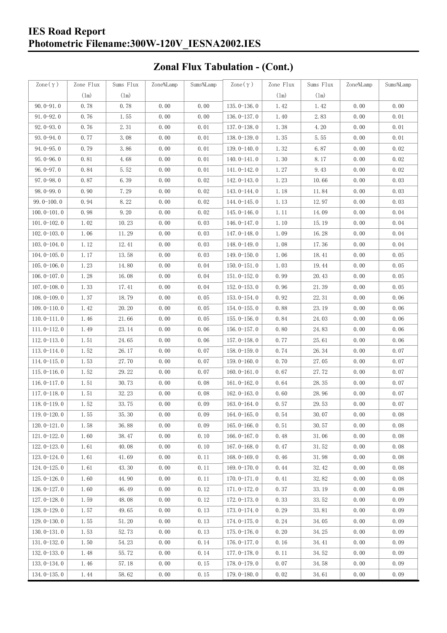### **IES Road Report Photometric Filename:300W-120V\_IESNA2002.IES**

# **Zonal Flux Tabulation - (Cont.)**

| Zone $(\gamma)$ | Zone Flux | Sums Flux | Zone%Lamp | Sums%Lamp | Zone $(\gamma)$ | Zone Flux | Sums Flux | Zone%Lamp | Sums%Lamp |
|-----------------|-----------|-----------|-----------|-----------|-----------------|-----------|-----------|-----------|-----------|
|                 | (1m)      | (1m)      |           |           |                 | (1m)      | (1m)      |           |           |
| $90.0 - 91.0$   | 0.78      | 0.78      | 0.00      | 0.00      | $135.0 - 136.0$ | 1.42      | 1.42      | 0.00      | 0.00      |
| $91.0 - 92.0$   | 0.76      | 1.55      | 0.00      | 0.00      | 136.0-137.0     | 1.40      | 2.83      | 0.00      | 0.01      |
| $92.0 - 93.0$   | 0.76      | 2.31      | 0.00      | 0.01      | 137.0-138.0     | 1.38      | 4.20      | 0.00      | 0.01      |
| 93.0-94.0       | 0.77      | 3.08      | 0.00      | 0.01      | 138.0-139.0     | 1.35      | 5.55      | 0.00      | 0.01      |
| $94.0 - 95.0$   | 0.79      | 3.86      | 0.00      | 0.01      | 139.0-140.0     | 1.32      | 6.87      | 0.00      | 0.02      |
| $95.0 - 96.0$   | 0.81      | 4.68      | 0.00      | 0.01      | $140.0 - 141.0$ | 1.30      | 8.17      | 0.00      | 0.02      |
| $96.0 - 97.0$   | 0.84      | 5.52      | 0.00      | 0.01      | 141.0-142.0     | 1.27      | 9.43      | 0.00      | 0.02      |
| $97.0 - 98.0$   | 0.87      | 6.39      | 0.00      | 0.02      | 142.0-143.0     | 1.23      | 10.66     | 0.00      | 0.03      |
| $98.0 - 99.0$   | 0.90      | 7.29      | 0.00      | 0.02      | 143.0-144.0     | 1.18      | 11.84     | 0.00      | 0.03      |
| $99.0 - 100.0$  | 0.94      | 8.22      | 0.00      | 0.02      | 144.0-145.0     | 1.13      | 12.97     | 0.00      | 0.03      |
| $100.0 - 101.0$ | 0.98      | 9.20      | 0.00      | 0.02      | $145.0 - 146.0$ | 1.11      | 14.09     | 0.00      | 0.04      |
| $101.0 - 102.0$ | 1.02      | 10.23     | 0.00      | 0.03      | 146.0-147.0     | 1.10      | 15.19     | 0.00      | 0.04      |
| $102.0 - 103.0$ | 1.06      | 11.29     | 0.00      | 0.03      | 147.0-148.0     | 1.09      | 16.28     | 0.00      | 0.04      |
| $103.0 - 104.0$ | 1.12      | 12.41     | 0.00      | 0.03      | 148.0-149.0     | 1.08      | 17.36     | 0.00      | 0.04      |
| $104.0 - 105.0$ | 1.17      | 13.58     | 0.00      | 0.03      | $149.0 - 150.0$ | 1.06      | 18.41     | 0.00      | 0.05      |
| $105.0 - 106.0$ | 1.23      | 14.80     | 0.00      | 0.04      | $150.0 - 151.0$ | 1.03      | 19.44     | 0.00      | 0.05      |
| $106.0 - 107.0$ | 1.28      | 16.08     | 0.00      | 0.04      | $151.0 - 152.0$ | 0.99      | 20.43     | 0.00      | 0.05      |
| $107.0 - 108.0$ | 1.33      | 17.41     | 0.00      | 0.04      | $152.0 - 153.0$ | 0.96      | 21.39     | 0.00      | 0.05      |
| $108.0 - 109.0$ | 1.37      | 18.79     | 0.00      | 0.05      | $153.0 - 154.0$ | 0.92      | 22.31     | 0.00      | 0.06      |
| $109.0 - 110.0$ | 1.42      | 20.20     | 0.00      | 0.05      | 154.0-155.0     | 0.88      | 23.19     | 0.00      | 0.06      |
| $110.0 - 111.0$ | 1.46      | 21.66     | 0.00      | 0.05      | $155.0 - 156.0$ | 0.84      | 24.03     | 0.00      | 0.06      |
| $111.0 - 112.0$ | 1.49      | 23.14     | 0.00      | 0.06      | $156.0 - 157.0$ | 0.80      | 24.83     | 0.00      | 0.06      |
| $112.0 - 113.0$ | 1.51      | 24.65     | 0.00      | 0.06      | 157.0-158.0     | 0.77      | 25.61     | 0.00      | 0.06      |
| $113.0 - 114.0$ | 1.52      | 26.17     | 0.00      | 0.07      | 158.0-159.0     | 0.74      | 26.34     | 0.00      | 0.07      |
| $114.0 - 115.0$ | 1.53      | 27.70     | 0.00      | 0.07      | $159.0 - 160.0$ | 0.70      | 27.05     | 0.00      | 0.07      |
| $115.0 - 116.0$ | 1.52      | 29.22     | 0.00      | 0.07      | $160.0 - 161.0$ | 0.67      | 27.72     | 0.00      | 0.07      |
| $116.0 - 117.0$ | 1.51      | 30.73     | 0.00      | 0.08      | $161.0 - 162.0$ | 0.64      | 28.35     | 0.00      | 0.07      |
| $117.0 - 118.0$ | 1.51      | 32.23     | 0.00      | 0.08      | $162.0 - 163.0$ | 0.60      | 28.96     | 0.00      | 0.07      |
| $118.0 - 119.0$ | 1.52      | 33.75     | 0.00      | 0.09      | $163.0 - 164.0$ | 0.57      | 29.53     | 0.00      | 0.07      |
| 119.0-120.0     | 1.55      | 35.30     | 0.00      | 0.09      | 164.0-165.0     | 0.54      | 30.07     | 0.00      | 0.08      |
| $120.0 - 121.0$ | 1.58      | 36.88     | 0.00      | 0.09      | $165.0 - 166.0$ | 0.51      | 30.57     | 0.00      | 0.08      |
| $121.0 - 122.0$ | 1.60      | 38.47     | 0.00      | 0.10      | $166.0 - 167.0$ | 0.48      | 31.06     | 0.00      | 0.08      |
| $122.0 - 123.0$ | 1.61      | 40.08     | 0.00      | 0.10      | $167.0 - 168.0$ | 0.47      | 31.52     | 0.00      | 0.08      |
| $123.0 - 124.0$ | 1.61      | 41.69     | 0.00      | 0.11      | $168.0 - 169.0$ | 0.46      | 31.98     | 0.00      | 0.08      |
| $124.0 - 125.0$ | 1.61      | 43.30     | 0.00      | 0.11      | $169.0 - 170.0$ | 0.44      | 32.42     | 0.00      | 0.08      |
| $125.0 - 126.0$ | 1.60      | 44.90     | 0.00      | 0.11      | $170.0 - 171.0$ | 0.41      | 32.82     | 0.00      | 0.08      |
| $126.0 - 127.0$ | 1.60      | 46.49     | 0.00      | 0.12      | 171.0-172.0     | 0.37      | 33.19     | 0.00      | 0.08      |
| $127.0 - 128.0$ | 1.59      | 48.08     | 0.00      | 0.12      | $172.0 - 173.0$ | 0.33      | 33.52     | 0.00      | 0.09      |
| $128.0 - 129.0$ | 1.57      | 49.65     | 0.00      | 0.13      | 173.0-174.0     | 0.29      | 33.81     | 0.00      | 0.09      |
| $129.0 - 130.0$ | 1.55      | 51.20     | 0.00      | 0.13      | 174.0-175.0     | 0.24      | 34.05     | 0.00      | 0.09      |
| $130.0 - 131.0$ | 1.53      | 52.73     | 0.00      | 0.13      | $175.0 - 176.0$ | 0.20      | 34.25     | 0.00      | 0.09      |
| $131.0 - 132.0$ | 1.50      | 54.23     | 0.00      | 0.14      | 176.0-177.0     | 0.16      | 34.41     | 0.00      | 0.09      |
| $132.0 - 133.0$ | 1.48      | 55.72     | 0.00      | 0.14      | $177.0 - 178.0$ | 0.11      | 34.52     | 0.00      | 0.09      |
| $133.0 - 134.0$ | 1.46      | 57.18     | 0.00      | 0.15      | 178.0-179.0     | 0.07      | 34.58     | 0.00      | 0.09      |
| $134.0 - 135.0$ | 1.44      | 58.62     | 0.00      | 0.15      | $179.0 - 180.0$ | 0.02      | 34.61     | 0.00      | 0.09      |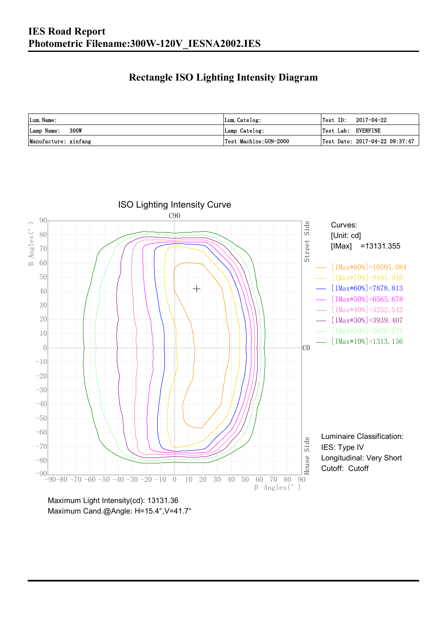### **Rectangle ISO Lighting Intensity Diagram**

| Lum. Name:           | Lum.Catelog:          | $\textsf{Test ID:} \quad 2017-04-22$ |
|----------------------|-----------------------|--------------------------------------|
| Lamp Name: 300W      | Lamp Catelog:         | Test Lab: EVERFINE                   |
| Manufacture: xinfang | Test Machine:GON-2000 | Test Date: 2017-04-22 09:37:47       |



Maximum Cand.@Angle: H=15.4°, V=41.7°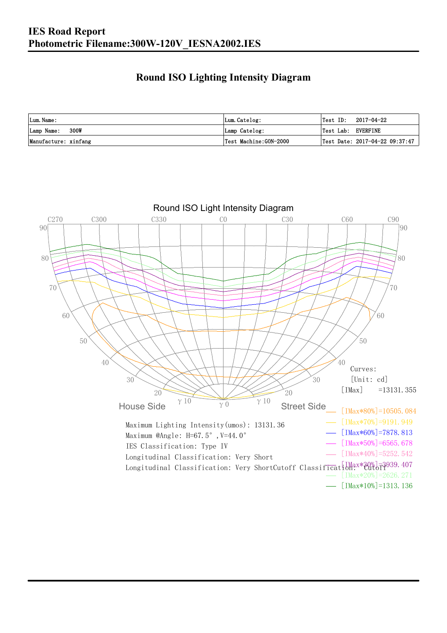### **Round ISO Lighting Intensity Diagram**

| Lum. Name:           | Lum.Catelog:          | 2017-04-22<br>Test ID:                         |
|----------------------|-----------------------|------------------------------------------------|
| 300W<br>Lamp Name:   | Lamp Catelog:         | Test Lab: EVERFINE                             |
| Manufacture: xinfang | Test Machine:GON-2000 | $\vert$ Test Date: 2017-04-22 09:37:47 $\vert$ |

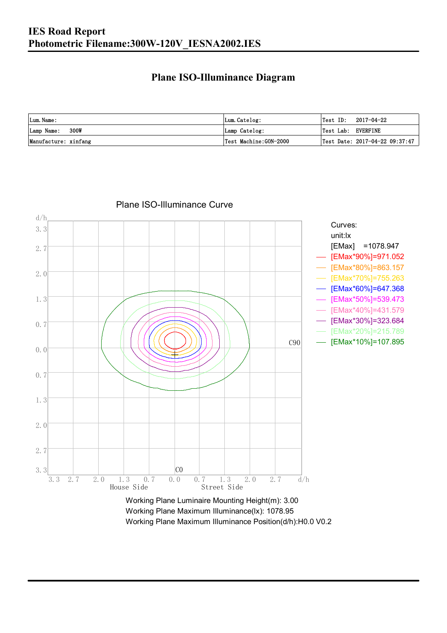#### **Plane ISO-Illuminance Diagram**

| Lum. Name:           | Lum.Catelog:          | $\textsf{Test ID:} \quad 2017-04-22$           |
|----------------------|-----------------------|------------------------------------------------|
| 300W<br>Lamp Name:   | Lamp Catelog:         | Test Lab: EVERFINE                             |
| Manufacture: xinfang | Test Machine:GON-2000 | $\vert$ Test Date: 2017-04-22 09:37:47 $\vert$ |



#### Plane ISO-Illuminance Curve

Working Plane Maximum Illuminance(lx): 1078.95 Working Plane Maximum Illuminance Position(d/h):H0.0 V0.2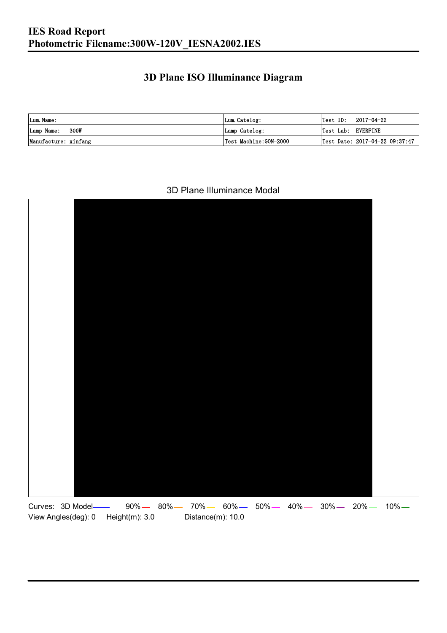### **3D Plane ISO Illuminance Diagram**

| Lum. Name:           | Lum.Catelog:          | Test ID:           | 2017-04-22                     |
|----------------------|-----------------------|--------------------|--------------------------------|
| 300W<br>Lamp Name:   | Lamp Catelog:         | Test Lab: EVERFINE |                                |
| Manufacture: xinfang | Test Machine:GON-2000 |                    | Test Date: 2017-04-22 09:37:47 |

#### 3D Plane Illuminance Modal

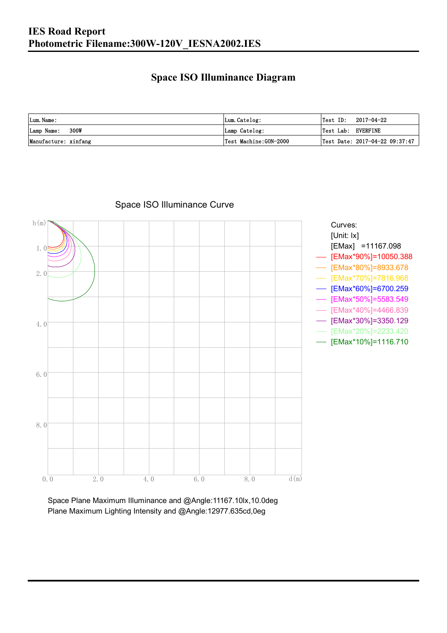### **Space ISO Illuminance Diagram**

| Lum. Name:           | Lum.Catelog:          | $\textsf{Test ID:} \quad 2017-04-22$           |
|----------------------|-----------------------|------------------------------------------------|
| 300W<br>Lamp Name:   | Lamp Catelog:         | Test Lab: EVERFINE                             |
| Manufacture: xinfang | Test Machine:GON-2000 | $\vert$ Test Date: 2017-04-22 09:37:47 $\vert$ |



### Space ISO Illuminance Curve

Space Plane Maximum Illuminance and @Angle:11167.10lx,10.0deg Plane Maximum Lighting Intensity and @Angle:12977.635cd,0eg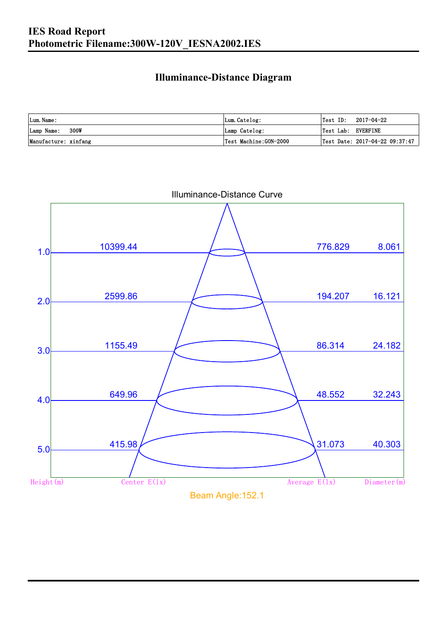### **Illuminance-Distance Diagram**

| Lum. Name:           | Lum.Catelog:           | Test ID:           | 2017-04-22                     |
|----------------------|------------------------|--------------------|--------------------------------|
| Lamp Name: 300W      | Lamp Catelog:          | Test Lab: EVERFINE |                                |
| Manufacture: xinfang | 'Test Machine:GON−2000 |                    | Test Date: 2017-04-22 09:37:47 |

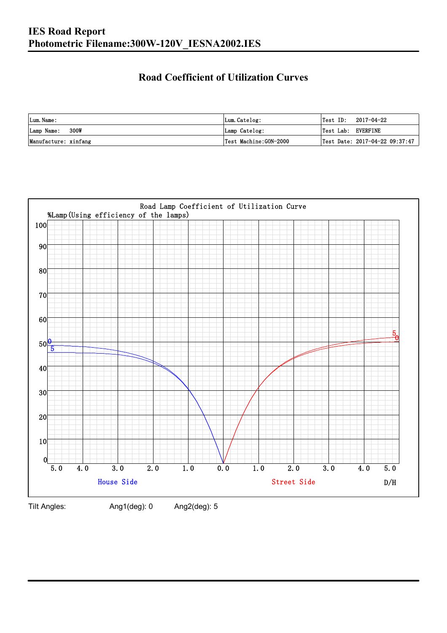### **Road Coefficient of Utilization Curves**

| Lum. Name:           | Lum.Catelog:          | Test ID:           | 2017-04-22                     |
|----------------------|-----------------------|--------------------|--------------------------------|
| 300W<br>Lamp Name:   | Lamp Catelog:         | Test Lab: EVERFINE |                                |
| Manufacture: xinfang | Test Machine:GON-2000 |                    | Test Date: 2017-04-22 09:37:47 |



Tilt Angles: Ang1(deg): 0 Ang2(deg): 5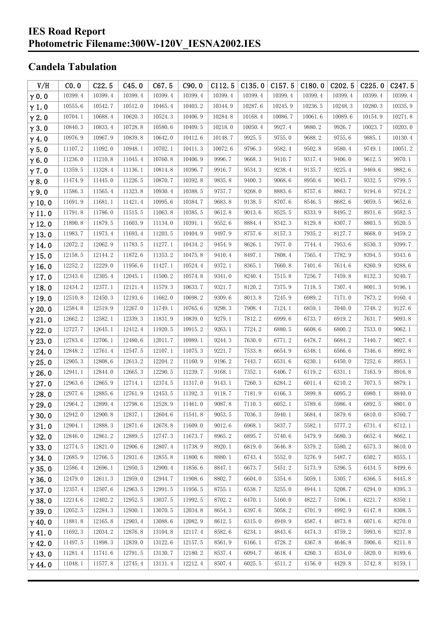#### **IES Road Report Photometric Filename:300W-120V\_IESNA2002.IES**

### **Candela Tabulation**

| V/H           | CO.0    | C22.5   | C45.0   | C67.5   | C90.0   | C112.5  | C135.0  | C <sub>157.5</sub> | C180.0  | C202.5  | C225.0  | C <sub>247.5</sub> |
|---------------|---------|---------|---------|---------|---------|---------|---------|--------------------|---------|---------|---------|--------------------|
| $\gamma$ 0.0  | 10399.4 | 10399.4 | 10399.4 | 10399.4 | 10399.4 | 10399.4 | 10399.4 | 10399.4            | 10399.4 | 10399.4 | 10399.4 | 10399.4            |
| $\gamma$ 1.0  | 10555.6 | 10542.7 | 10512.0 | 10465.4 | 10403.2 | 10344.9 | 10287.6 | 10245.9            | 10236.5 | 10248.3 | 10280.3 | 10335.9            |
| $\gamma$ 2.0  | 10704.1 | 10688.4 | 10620.3 | 10524.3 | 10406.9 | 10284.8 | 10168.4 | 10086.7            | 10061.6 | 10089.6 | 10154.9 | 10271.8            |
| $\gamma$ 3.0  | 10840.3 | 10833.4 | 10728.8 | 10580.6 | 10409.5 | 10218.0 | 10050.4 | 9927.4             | 9880.2  | 9926.7  | 10023.7 | 10203.0            |
| $\gamma$ 4.0  | 10976.9 | 10967.9 | 10839.8 | 10642.0 | 10412.6 | 10148.7 | 9925.5  | 9755.0             | 9688.2  | 9755.6  | 9885.1  | 10130.4            |
| $\gamma$ 5.0  | 11107.2 | 11092.0 | 10948.1 | 10702.1 | 10411.3 | 10072.6 | 9796.3  | 9582.4             | 9502.8  | 9580.4  | 9749.1  | 10051.2            |
| $\gamma$ 6.0  | 11236.0 | 11210.8 | 11045.4 | 10760.8 | 10406.9 | 9996.7  | 9668.3  | 9410.7             | 9317.4  | 9406.0  | 9612.5  | 9970.1             |
| $\gamma$ 7.0  | 11359.5 | 11328.4 | 11136.1 | 10814.8 | 10396.7 | 9916.7  | 9534.3  | 9238.4             | 9135.7  | 9225.4  | 9469.6  | 9882.6             |
| $\gamma$ 8.0  | 11474.9 | 11445.0 | 11226.5 | 10870.7 | 10392.8 | 9835.8  | 9400.3  | 9068.6             | 8950.6  | 9043.7  | 9332.5  | 9799.5             |
| $\gamma$ 9.0  | 11586.3 | 11565.4 | 11323.8 | 10930.4 | 10388.5 | 9757.7  | 9268.0  | 8883.6             | 8757.6  | 8863.7  | 9194.6  | 9724.2             |
| $\gamma$ 10.0 | 11691.9 | 11681.1 | 11421.4 | 10995.6 | 10384.7 | 9683.8  | 9138.5  | 8707.6             | 8546.5  | 8682.6  | 9059.5  | 9652.6             |
| $\gamma$ 11.0 | 11791.8 | 11786.0 | 11515.5 | 11063.8 | 10385.5 | 9612.8  | 9013.6  | 8525.5             | 8333.9  | 8495.2  | 8931.6  | 9582.5             |
| $\gamma$ 12.0 | 11890.8 | 11879.5 | 11603.9 | 11134.0 | 10391.1 | 9552.6  | 8884.4  | 8342.3             | 8129.8  | 8307.7  | 8803.5  | 9520.5             |
| $\gamma$ 13.0 | 11983.7 | 11973.4 | 11693.4 | 11203.5 | 10404.9 | 9497.9  | 8757.6  | 8157.3             | 7935.2  | 8127.7  | 8668.0  | 9459.2             |
| $\gamma$ 14.0 | 12072.2 | 12062.9 | 11783.5 | 11277.1 | 10434.2 | 9454.9  | 8626.1  | 7977.0             | 7744.4  | 7953.6  | 8530.3  | 9399.7             |
| $\gamma$ 15.0 | 12158.5 | 12144.2 | 11872.6 | 11353.2 | 10475.8 | 9410.4  | 8497.1  | 7808.4             | 7565.4  | 7782.9  | 8394.5  | 9343.6             |
| $\gamma$ 16.0 | 12252.2 | 12229.0 | 11956.6 | 11427.1 | 10524.4 | 9372.1  | 8365.1  | 7660.8             | 7401.6  | 7614.6  | 8260.9  | 9288.6             |
| $\gamma$ 17.0 | 12343.6 | 12305.4 | 12045.1 | 11500.2 | 10574.8 | 9341.0  | 8240.4  | 7515.8             | 7256.7  | 7459.8  | 8132.3  | 9240.7             |
| $\gamma$ 18.0 | 12434.2 | 12377.1 | 12121.4 | 11579.3 | 10633.7 | 9321.7  | 8120.2  | 7375.9             | 7118.5  | 7307.4  | 8001.3  | 9196.1             |
| $\gamma$ 19.0 | 12510.8 | 12450.3 | 12193.6 | 11662.0 | 10698.2 | 9309.6  | 8013.8  | 7245.9             | 6989.2  | 7171.0  | 7873.2  | 9160.4             |
| $\gamma$ 20.0 | 12584.8 | 12519.9 | 12267.0 | 11749.1 | 10765.6 | 9298.3  | 7908.4  | 7124.1             | 6859.1  | 7040.0  | 7748.2  | 9127.6             |
| $\gamma$ 21.0 | 12662.2 | 12582.1 | 12339.3 | 11831.9 | 10839.0 | 9279.1  | 7812.2  | 6999.6             | 6733.7  | 6919.2  | 7631.7  | 9093.8             |
| $\gamma$ 22.0 | 12727.7 | 12645.1 | 12412.4 | 11920.5 | 10915.2 | 9263.1  | 7724.2  | 6880.5             | 6608.6  | 6800.2  | 7533.0  | 9062.1             |
| $\gamma$ 23.0 | 12783.6 | 12706.1 | 12480.6 | 12011.7 | 10989.1 | 9244.3  | 7630.0  | 6771.2             | 6478.7  | 6684.2  | 7440.7  | 9027.4             |
| $\gamma$ 24.0 | 12848.2 | 12761.4 | 12547.5 | 12107.1 | 11075.3 | 9221.7  | 7533.8  | 6654.9             | 6348.1  | 6566.6  | 7346.6  | 8992.8             |
| $\gamma$ 25.0 | 12905.3 | 12808.6 | 12613.2 | 12204.2 | 11160.9 | 9196.2  | 7443.7  | 6531.6             | 6230.1  | 6450.0  | 7252.6  | 8953.1             |
| $\gamma$ 26.0 | 12941.1 | 12844.0 | 12665.3 | 12290.5 | 11239.7 | 9168.1  | 7352.1  | 6406.7             | 6119.2  | 6331.1  | 7163.9  | 8916.8             |
| $\gamma$ 27.0 | 12963.6 | 12865.9 | 12714.1 | 12374.5 | 11317.0 | 9143.1  | 7260.3  | 6284.2             | 6011.4  | 6210.2  | 7073.5  | 8879.1             |
| $\gamma$ 28.0 | 12977.6 | 12885.6 | 12761.9 | 12453.5 | 11392.3 | 9118.7  | 7181.9  | 6166.3             | 5899.8  | 6095.2  | 6980.1  | 8840.0             |
| $\gamma$ 29.0 | 12964.2 | 12899.4 | 12798.6 | 12528.9 | 11461.0 | 9087.8  | 7110.3  | 6052.1             | 5789.6  | 5986.4  | 6892.5  | 8801.0             |
| $\gamma$ 30.0 | 12942.0 | 12900.8 | 12837.1 | 12604.6 | 11541.8 | 9053.5  | 7036.3  | 5940.1             | 5684.4  | 5879.6  | 6810.0  | 8760.7             |
| $\gamma$ 31.0 | 12904.1 | 12888.3 | 12871.6 | 12678.8 | 11609.0 | 9012.6  | 6968.1  | 5837.7             | 5582.1  | 5777.2  | 6731.4  | 8712.1             |
| $\gamma$ 32.0 | 12846.0 | 12861.2 | 12889.5 | 12747.3 | 11673.7 | 8965.2  | 6895.7  | 5740.6             | 5479.9  | 5680.3  | 6652.4  | 8662.1             |
| $\gamma$ 33.0 | 12774.5 | 12821.0 | 12906.6 | 12807.4 | 11738.9 | 8920.1  | 6819.0  | 5646.8             | 5379.2  | 5580.2  | 6573.3  | 8610.0             |
| $\gamma$ 34.0 | 12685.9 | 12766.5 | 12931.6 | 12855.8 | 11800.6 | 8880.1  | 6743.4  | 5552.0             | 5276.9  | 5487.7  | 6502.7  | 8555.1             |
| $\gamma$ 35.0 | 12586.4 | 12696.1 | 12950.5 | 12900.4 | 11856.6 | 8847.1  | 6673.7  | 5451.2             | 5173.9  | 5396.5  | 6434.5  | 8499.6             |
| $\gamma$ 36.0 | 12479.0 | 12611.3 | 12959.0 | 12944.7 | 11908.6 | 8802.7  | 6604.0  | 5354.6             | 5059.1  | 5305.7  | 6366.5  | 8445.8             |
| $\gamma$ 37.0 | 12357.4 | 12507.6 | 12963.5 | 12991.5 | 11956.5 | 8755.1  | 6538.7  | 5255.0             | 4944.1  | 5208.7  | 6294.0  | 8395.3             |
| $\gamma$ 38.0 | 12214.6 | 12402.2 | 12952.5 | 13037.5 | 11992.5 | 8702.2  | 6470.1  | 5160.0             | 4822.7  | 5106.1  | 6221.7  | 8350.1             |
| $\gamma$ 39.0 | 12052.5 | 12284.3 | 12930.1 | 13070.5 | 12034.8 | 8654.3  | 6397.6  | 5058.2             | 4701.9  | 4992.9  | 6147.8  | 8308.5             |
| $\gamma$ 40.0 | 11881.8 | 12165.8 | 12903.4 | 13088.6 | 12082.9 | 8612.5  | 6315.0  | 4949.9             | 4587.4  | 4873.8  | 6071.6  | 8270.0             |
| $\gamma$ 41.0 | 11692.3 | 12034.2 | 12876.8 | 13104.8 | 12117.4 | 8582.6  | 6234.1  | 4843.6             | 4474.3  | 4759.2  | 5993.6  | 8237.8             |
| $\gamma$ 42.0 | 11497.5 | 11898.3 | 12839.0 | 13122.6 | 12157.5 | 8561.9  | 6166.1  | 4728.2             | 4367.8  | 4646.8  | 5906.6  | 8211.8             |
| $\gamma$ 43.0 | 11281.4 | 11741.6 | 12791.5 | 13130.7 | 12180.2 | 8537.4  | 6094.7  | 4618.4             | 4260.3  | 4534.0  | 5820.0  | 8189.6             |
| $\gamma$ 44.0 | 11048.1 | 11577.8 | 12745.4 | 13131.4 | 12212.4 | 8507.4  | 6025.5  | 4511.2             | 4156.0  | 4429.8  | 5742.8  | 8159.1             |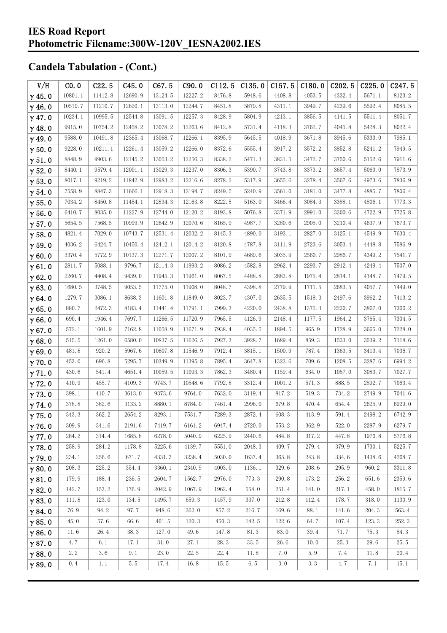| V/H           | CO.0    | C22.5   | C45.0        | C67.5   | C90.0   | C112.5 | C135.0 | C157.5 | C180.0 | C202.5 | C225.0  | C247.5 |
|---------------|---------|---------|--------------|---------|---------|--------|--------|--------|--------|--------|---------|--------|
| $\gamma$ 45.0 | 10801.1 | 11412.8 | 12690.9      | 13124.5 | 12227.2 | 8476.8 | 5948.6 | 4408.8 | 4053.5 | 4332.4 | 5671.1  | 8123.2 |
| $\gamma$ 46.0 | 10519.7 | 11210.7 | 12620.1      | 13113.0 | 12244.7 | 8451.8 | 5879.8 | 4311.1 | 3949.7 | 4239.6 | 5592.4  | 8085.5 |
| $\gamma$ 47.0 | 10234.1 | 10995.5 | 12544.8      | 13091.5 | 12257.3 | 8428.9 | 5804.9 | 4213.1 | 3856.5 | 4141.5 | 5511.4  | 8051.7 |
| $\gamma$ 48.0 | 9915.0  | 10754.2 | 12458.2      | 13078.2 | 12263.6 | 8412.8 | 5731.4 | 4118.3 | 3762.7 | 4045.8 | 5428.3  | 8022.4 |
| $\gamma$ 49.0 | 9588.0  | 10491.8 | 12365.4      | 13068.7 | 12266.1 | 8395.9 | 5645.5 | 4018.9 | 3671.8 | 3945.6 | 5333.0  | 7985.1 |
| $\gamma$ 50.0 | 9228.0  | 10211.1 | 12261.4      | 13059.2 | 12266.0 | 8372.6 | 5555.4 | 3917.2 | 3572.2 | 3852.8 | 5241.2  | 7949.5 |
| $\gamma$ 51.0 | 8848.9  | 9903.6  | 12145.2      | 13053.2 | 12256.3 | 8338.2 | 5471.3 | 3831.5 | 3472.7 | 3750.6 | 5152.6  | 7911.6 |
| $\gamma$ 52.0 | 8440.1  | 9579.4  | 12001.1      | 13029.3 | 12237.0 | 8306.3 | 5390.7 | 3743.8 | 3373.2 | 3657.4 | 5063.0  | 7873.9 |
| $\gamma$ 53.0 | 8017.1  | 9219.2  | 11842.9      | 12983.2 | 12216.6 | 8278.2 | 5317.9 | 3655.6 | 3278.4 | 3567.6 | 4973.6  | 7836.9 |
| $\gamma$ 54.0 | 7558.9  | 8847.3  | 11666.1      | 12918.3 | 12194.7 | 8249.5 | 5240.9 | 3561.0 | 3181.0 | 3477.8 | 4885.7  | 7806.4 |
| $\gamma$ 55.0 | 7034.2  | 8450.8  | 11454.1      | 12834.3 | 12163.8 | 8222.5 | 5163.0 | 3466.4 | 3084.3 | 3388.1 | 4806.1  | 7773.3 |
| $\gamma$ 56.0 | 6410.7  | 8035.0  | 11227.9      | 12744.0 | 12120.2 | 8193.8 | 5076.8 | 3371.9 | 2991.0 | 3300.6 | 4722.9  | 7725.8 |
| $\gamma$ 57.0 | 5654.5  | 7568.5  | 10999.9      | 12642.9 | 12070.6 | 8165.9 | 4987.7 | 3280.6 | 2905.0 | 3210.4 | 4637.9  | 7673.7 |
| $\gamma$ 58.0 | 4821.4  | 7029.0  | 10743.7      | 12531.4 | 12032.2 | 8145.3 | 4890.0 | 3193.1 | 2827.0 | 3125.1 | 4549.9  | 7630.4 |
| $\gamma$ 59.0 | 4036.2  | 6424.7  | 10450. $4\,$ | 12412.1 | 12014.2 | 8120.8 | 4787.8 | 3111.9 | 2723.6 | 3053.4 | 4448.8  | 7586.9 |
| $\gamma$ 60.0 | 3370.4  | 5772.9  | 10137.3      | 12271.7 | 12007.2 | 8101.9 | 4689.6 | 3035.9 | 2560.7 | 2986.7 | 4349.2  | 7541.7 |
| $\gamma$ 61.0 | 2811.7  | 5088.1  | 9796.7       | 12114.3 | 11993.2 | 8086.2 | 4582.8 | 2962.4 | 2293.7 | 2912.4 | 4249.4  | 7507.0 |
| $\gamma$ 62.0 | 2260.7  | 4408.4  | 9439.0       | 11945.3 | 11961.0 | 8067.5 | 4488.8 | 2883.8 | 1975.4 | 2814.1 | 4148.7  | 7479.5 |
| $\gamma$ 63.0 | 1680.5  | 3748.5  | 9053.5       | 11775.0 | 11908.0 | 8048.7 | 4398.8 | 2779.9 | 1711.5 | 2683.5 | 4057.7  | 7449.0 |
| $\gamma$ 64.0 | 1279.7  | 3086.1  | 8638.3       | 11601.8 | 11849.0 | 8023.7 | 4307.0 | 2635.5 | 1518.3 | 2497.6 | 3962.2  | 7413.2 |
| $\gamma$ 65.0 | 880.7   | 2472.3  | 8183.4       | 11441.4 | 11791.1 | 7999.3 | 4220.0 | 2438.8 | 1375.3 | 2230.7 | 3867.0  | 7366.2 |
| $\gamma$ 66.0 | 690.4   | 1946.4  | 7697.7       | 11266.5 | 11720.9 | 7965.5 | 4126.9 | 2148.4 | 1177.5 | 1964.2 | 3765.4  | 7304.5 |
| $\gamma$ 67.0 | 572.1   | 1601.9  | 7162.8       | 11058.9 | 11671.9 | 7938.4 | 4035.5 | 1894.5 | 965.9  | 1728.9 | 3665.0  | 7228.0 |
| $\gamma$ 68.0 | 515.5   | 1261.0  | 6580.0       | 10837.5 | 11626.5 | 7927.3 | 3928.7 | 1689.4 | 859.3  | 1533.0 | 3539.2  | 7118.6 |
| $\gamma$ 69.0 | 481.8   | 920.2   | 5967.6       | 10607.8 | 11546.9 | 7912.4 | 3815.1 | 1500.9 | 787.4  | 1363.5 | 3413.4  | 7036.7 |
| $\gamma$ 70.0 | 453.0   | 696.8   | 5295.7       | 10349.9 | 11395.8 | 7895.4 | 3647.8 | 1323.6 | 709.6  | 1208.5 | 3287.6  | 6994.2 |
| $\gamma$ 71.0 | 430.6   | 541.4   | 4651.4       | 10059.5 | 11093.3 | 7862.3 | 3480.4 | 1159.4 | 634.0  | 1057.0 | 3083.7  | 7027.7 |
| $\gamma$ 72.0 | 410.9   | 455.7   | 4109.3       | 9743.7  | 10548.6 | 7792.8 | 3312.4 | 1001.2 | 571.3  | 888.5  | 2892.7  | 7063.4 |
| $\gamma$ 73.0 | 398.1   | 410.7   | 3613.0       | 9373.6  | 9764.0  | 7632.0 | 3119.4 | 817.2  | 519.3  | 734.2  | 2749.9  | 7041.6 |
| $\gamma$ 74.0 | 378.8   | 382.6   | 3133.2       | 8880.1  | 8784.0  | 7461.4 | 2996.0 | 679.8  | 470.4  | 654.4  | 2625.9  | 6929.0 |
| $\gamma$ 75.0 | 343.3   | 362.2   | 2654.2       | 8293.1  | 7531.7  | 7289.3 | 2872.4 | 608.3  | 413.9  | 591.4  | 2498.2  | 6742.9 |
| $\gamma$ 76.0 | 309.9   | 341.6   | 2191.6       | 7419.7  | 6161.2  | 6947.4 | 2720.0 | 553.2  | 362.9  | 522.0  | 2287.9  | 6279.7 |
| $\gamma$ 77.0 | 284.2   | 314.4   | 1685.8       | 6278.0  | 5040.9  | 6225.9 | 2440.6 | 484.8  | 317.2  | 447.8  | 1970.8  | 5776.8 |
| $\gamma$ 78.0 | 258.9   | 284.2   | 1178.8       | 5225.6  | 4139.7  | 5551.0 | 2048.3 | 409.7  | 279.4  | 379.9  | 1730.1  | 5225.7 |
| $\gamma$ 79.0 | 234.1   | 256.6   | 671.7        | 4331.3  | 3238.4  | 5030.0 | 1637.4 | 365.8  | 243.8  | 334.6  | 1438.6  | 4268.7 |
| $\gamma$ 80.0 | 208.3   | 225.2   | 354.4        | 3360.1  | 2340.9  | 4003.0 | 1136.1 | 329.6  | 208.6  | 295.9  | 960.2   | 3311.8 |
| $\gamma$ 81.0 | 179.9   | 188.4   | 236.5        | 2604.7  | 1562.7  | 2976.0 | 773.3  | 290.8  | 173.2  | 256.2  | 651.6   | 2359.6 |
| $\gamma$ 82.0 | 142.7   | 153.2   | 176.9        | 2042.9  | 1067.9  | 1962.4 | 554.0  | 251.4  | 141.0  | 217.1  | 458.0   | 1815.7 |
| $\gamma$ 83.0 | 111.8   | 123.0   | 134.5        | 1495.7  | 659.3   | 1457.9 | 337.0  | 212.8  | 112.4  | 178.7  | 318.0   | 1130.9 |
| $\gamma$ 84.0 | 76.9    | 94.2    | 97.7         | 948.6   | 362.0   | 857.2  | 216.7  | 169.6  | 88.1   | 141.6  | 204.3   | 563.4  |
| $\gamma$ 85.0 | 45.0    | 57.6    | 66.6         | 401.5   | 120.3   | 450.3  | 142.5  | 122.6  | 64.7   | 107.4  | 123.3   | 252.3  |
| $\gamma$ 86.0 | 11.6    | 26.4    | 38.3         | 127.0   | 49.6    | 147.8  | 81.3   | 83.0   | 39.4   | 71.7   | 75.3    | 84.3   |
| $\gamma$ 87.0 | 4.7     | 6.1     | 17.1         | 31.0    | 27.1    | 28.3   | 33.5   | 26.6   | 10.0   | 25.3   | 29.6    | 25.5   |
| $\gamma$ 88.0 | 2.2     | 3.6     | 9.1          | 23.0    | 22.5    | 22.4   | 11.8   | 7.0    | 5.9    | 7.4    | 11.8    | 20.4   |
| $\gamma$ 89.0 | 0.4     | 1.1     | 5.5          | 17.4    | 16.8    | 15.5   | 6.5    | 3.0    | 3.3    | 4.7    | $7.\,1$ | 15.1   |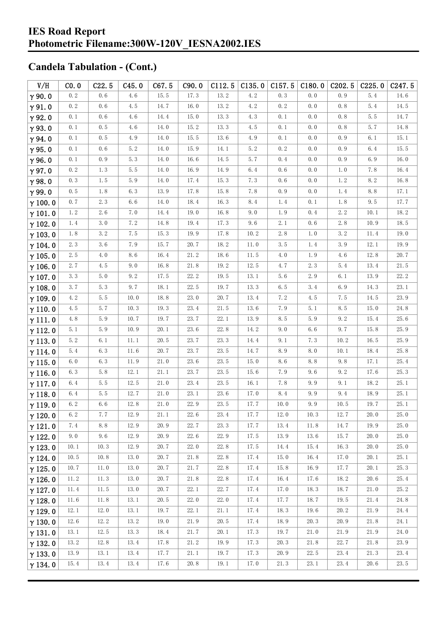#### **IES Road Report Photometric Filename:300W-120V\_IESNA2002.IES**

| V/H            | CO.0    | C22.5 | C45.0    | C67.5                | C90.0                | C112.5   | C135.0 | C157.5 | C180.0 | C <sub>2</sub> 02.5 | C225.0 | C247.5   |
|----------------|---------|-------|----------|----------------------|----------------------|----------|--------|--------|--------|---------------------|--------|----------|
| $\gamma$ 90.0  | 0.2     | 0.6   | 4.6      | 15.5                 | 17.3                 | 13.2     | 4.2    | 0.3    | 0.0    | 0.9                 | 5.4    | 14.6     |
| $\gamma$ 91.0  | 0.2     | 0.6   | 4.5      | 14.7                 | 16.0                 | 13.2     | 4.2    | 0.2    | 0.0    | 0.8                 | 5.4    | 14.5     |
| $\gamma$ 92.0  | 0.1     | 0.6   | 4.6      | 14.4                 | 15.0                 | 13.3     | 4.3    | 0.1    | 0.0    | 0.8                 | 5.5    | 14.7     |
| $\gamma$ 93.0  | 0.1     | 0.5   | 4.6      | $14.0$               | 15.2                 | 13.3     | 4.5    | 0.1    | 0.0    | 0.8                 | 5.7    | 14.8     |
| $\gamma$ 94.0  | 0.1     | 0.5   | 4.9      | 14.0                 | 15.5                 | 13.6     | 4.9    | 0.1    | 0.0    | 0.9                 | 6.1    | 15.1     |
| $\gamma$ 95.0  | 0.1     | 0.6   | 5.2      | 14.0                 | 15.9                 | 14.1     | 5.2    | 0.2    | 0.0    | 0.9                 | 6.4    | 15.5     |
| $\gamma$ 96.0  | 0.1     | 0.9   | 5.3      | 14.0                 | 16.6                 | 14.5     | 5.7    | 0.4    | 0.0    | 0.9                 | 6.9    | 16.0     |
| $\gamma$ 97.0  | 0.2     | 1.3   | 5.5      | 14.0                 | 16.9                 | 14.9     | 6.4    | 0.6    | 0.0    | 1.0                 | 7.8    | 16.4     |
| $\gamma$ 98.0  | 0.3     | 1.5   | 5.9      | 14.0                 | 17.4                 | 15.3     | 7.3    | 0.6    | 0.0    | 1.2                 | 8.2    | 16.8     |
| $\gamma$ 99.0  | 0.5     | 1.8   | 6.3      | 13.9                 | 17.8                 | 15.8     | 7.8    | 0.9    | 0.0    | 1.4                 | 8.8    | 17.1     |
| $\gamma$ 100.0 | 0.7     | 2.3   | 6.6      | 14.0                 | 18.4                 | 16.3     | 8.4    | 1.4    | 0.1    | 1.8                 | 9.5    | 17.7     |
| $\gamma$ 101.0 | 1.2     | 2.6   | 7.0      | 14.4                 | 19.0                 | 16.8     | 9.0    | 1.9    | 0.4    | 2.2                 | 10.1   | 18.2     |
| $\gamma$ 102.0 | 1.4     | 3.0   | 7.2      | 14.8                 | 19.4                 | 17.3     | 9.6    | 2.1    | 0.6    | 2.8                 | 10.9   | 18.5     |
| $\gamma$ 103.0 | 1.8     | 3.2   | 7.5      | 15.3                 | 19.9                 | 17.8     | 10.2   | 2.8    | 1.0    | 3.2                 | 11.4   | 19.0     |
| $\gamma$ 104.0 | 2.3     | 3.6   | 7.9      | 15.7                 | 20.7                 | 18.2     | 11.0   | 3.5    | 1.4    | 3.9                 | 12.1   | 19.9     |
| $\gamma$ 105.0 | 2.5     | 4.0   | 8.6      | 16.4                 | 21.2                 | 18.6     | 11.5   | 4.0    | 1.9    | 4.6                 | 12.8   | 20.7     |
| $\gamma$ 106.0 | 2.7     | 4.5   | 9.0      | 16.8                 | 21.8                 | 19.2     | 12.5   | 4.7    | 2.3    | 5.4                 | 13.4   | 21.5     |
| $\gamma$ 107.0 | 3.3     | 5.0   | 9.2      | 17.5                 | 22.2                 | 19.5     | 13.1   | 5.6    | 2.9    | 6.1                 | 13.9   | 22.2     |
| $\gamma$ 108.0 | 3.7     | 5.3   | 9.7      | 18.1                 | 22.5                 | 19.7     | 13.3   | 6.5    | 3.4    | 6.9                 | 14.3   | 23.1     |
| $\gamma$ 109.0 | 4.2     | 5.5   | $10.0$   | 18.8                 | 23.0                 | 20.7     | 13.4   | 7.2    | 4.5    | 7.5                 | 14.5   | 23.9     |
| $\gamma$ 110.0 | 4.5     | 5.7   | 10.3     | 19.3                 | 23.4                 | 21.5     | 13.6   | 7.9    | 5.1    | 8.5                 | 15.0   | 24.8     |
| $\gamma$ 111.0 | 4.8     | 5.9   | 10.7     | 19.7                 | 23.7                 | 22.1     | 13.9   | 8.5    | 5.9    | 9.2                 | 15.4   | 25.6     |
| $\gamma$ 112.0 | 5.1     | 5.9   | 10.9     | 20.1                 | 23.6                 | 22.8     | 14.2   | 9.0    | 6.6    | 9.7                 | 15.8   | 25.9     |
| $\gamma$ 113.0 | 5.2     | 6.1   | 11.1     | 20.5                 | 23.7                 | 23.3     | 14.4   | 9.1    | 7.3    | 10.2                | 16.5   | 25.9     |
| $\gamma$ 114.0 | 5.4     | 6.3   | 11.6     | 20.7                 | 23.7                 | 23.5     | 14.7   | 8.9    | 8.0    | 10.1                | 18.4   | 25.8     |
| $\gamma$ 115.0 | 6.0     | 6.3   | 11.9     | $21.\,\allowbreak 0$ | 23.6                 | 23.5     | 15.0   | 8.6    | 8.8    | 9.8                 | 17.1   | 25.4     |
| $\gamma$ 116.0 | 6.3     | 5.8   | 12.1     | 21.1                 | 23.7                 | 23.5     | 15.6   | 7.9    | 9.6    | 9.2                 | 17.6   | 25.3     |
| $\gamma$ 117.0 | 6.4     | 5.5   | 12.5     | 21.0                 | 23.4                 | 23.5     | 16.1   | 7.8    | 9.9    | 9.1                 | 18.2   | 25.1     |
| $\gamma$ 118.0 | 6.4     | 5.5   | 12.7     | $21.\,\allowbreak 0$ | 23.1                 | 23.6     | 17.0   | 8.4    | 9.9    | 9.4                 | 18.9   | 25.1     |
| $\gamma$ 119.0 | 6.2     | 6.6   | 12.8     | 21.0                 | 22.9                 | 23.5     | 17.7   | 10.0   | 9.9    | 10.5                | 19.7   | 25.1     |
| $\gamma$ 120.0 | $6.\,2$ | 7.7   | $12.9\,$ | $21.\,1$             | 22.6                 | $23.\,4$ | 17.7   | 12.0   | 10.3   | 12.7                | $20.0$ | $25.\,0$ |
| $\gamma$ 121.0 | 7.4     | 8.8   | 12.9     | 20.9                 | 22.7                 | 23.3     | 17.7   | 13.4   | 11.8   | 14.7                | 19.9   | 25.0     |
| $\gamma$ 122.0 | 9.0     | 9.6   | 12.9     | 20.9                 | 22.6                 | 22.9     | 17.5   | 13.9   | 13.6   | 15.7                | 20.0   | 25.0     |
| $\gamma$ 123.0 | 10.1    | 10.3  | 12.9     | 20.7                 | 22.0                 | 22.8     | 17.5   | 14.4   | 15.4   | 16.3                | 20.0   | 25.0     |
| $\gamma$ 124.0 | 10.5    | 10.8  | 13.0     | 20.7                 | 21.8                 | 22.8     | 17.4   | 15.0   | 16.4   | 17.0                | 20.1   | 25.1     |
| $\gamma$ 125.0 | 10.7    | 11.0  | 13.0     | 20.7                 | 21.7                 | 22.8     | 17.4   | 15.8   | 16.9   | 17.7                | 20.1   | 25.3     |
| $\gamma$ 126.0 | 11.2    | 11.3  | 13.0     | 20.7                 | 21.8                 | 22.8     | 17.4   | 16.4   | 17.6   | 18.2                | 20.6   | 25.4     |
| $\gamma$ 127.0 | 11.4    | 11.5  | 13.0     | 20.7                 | 22.1                 | 22.7     | 17.4   | 17.0   | 18.3   | 18.7                | 21.0   | 25.2     |
| $\gamma$ 128.0 | 11.6    | 11.8  | 13.1     | 20.5                 | 22.0                 | 22.0     | 17.4   | 17.7   | 18.7   | 19.5                | 21.4   | 24.8     |
| $\gamma$ 129.0 | 12.1    | 12.0  | 13.1     | 19.7                 | 22.1                 | 21.1     | 17.4   | 18.3   | 19.6   | 20.2                | 21.9   | 24.4     |
| $\gamma$ 130.0 | 12.6    | 12.2  | $13.\,2$ | 19.0                 | 21.9                 | 20.5     | 17.4   | 18.9   | 20.3   | 20.9                | 21.8   | 24.1     |
| $\gamma$ 131.0 | 13.1    | 12.5  | 13.3     | 18.4                 | 21.7                 | 20.1     | 17.3   | 19.7   | 21.0   | 21.9                | 21.9   | 24.0     |
| $\gamma$ 132.0 | 13.2    | 12.8  | 13.4     | 17.8                 | 21.2                 | 19.9     | 17.3   | 20.3   | 21.8   | 22.7                | 21.8   | 23.9     |
| $\gamma$ 133.0 | 13.9    | 13.1  | 13.4     | 17.7                 | 21.1                 | 19.7     | 17.3   | 20.9   | 22.5   | 23.4                | 21.3   | 23.4     |
| $\gamma$ 134.0 | 15.4    | 13.4  | 13.4     | 17.6                 | $20.\,\allowbreak 8$ | 19.1     | 17.0   | 21.3   | 23.1   | 23.4                | 20.6   | 23.5     |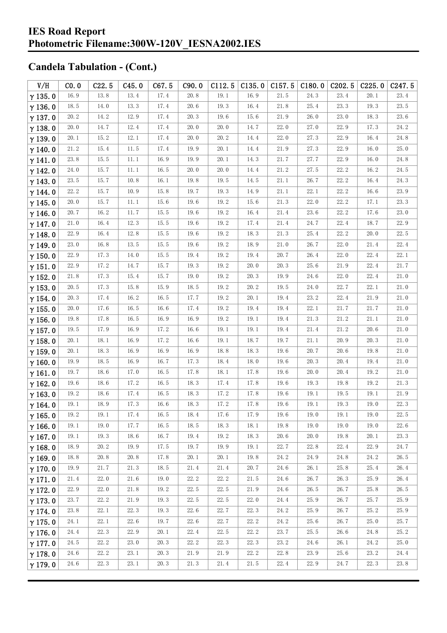| V/H            | CO.0         | C22.5        | C45.0        | C67.5        | C90.0        | C112.5       | C135.0       | C157.5       | C180.0       | C <sub>2</sub> 02.5 | C225.0       | C247.5       |
|----------------|--------------|--------------|--------------|--------------|--------------|--------------|--------------|--------------|--------------|---------------------|--------------|--------------|
| $\gamma$ 135.0 | 16.9         | 13.8         | 13.4         | 17.4         | 20.8         | 19.1         | 16.9         | 21.5         | 24.3         | 23.4                | 20.1         | 23.4         |
| $\gamma$ 136.0 | 18.5         | 14.0         | 13.3         | 17.4         | 20.6         | 19.3         | 16.4         | 21.8         | 25.4         | 23.3                | 19.3         | 23.5         |
| $\gamma$ 137.0 | 20.2         | 14.2         | 12.9         | 17.4         | 20.3         | 19.6         | 15.6         | 21.9         | 26.0         | 23.0                | 18.3         | 23.6         |
| $\gamma$ 138.0 | 20.0         | 14.7         | 12.4         | 17.4         | 20.0         | 20.0         | 14.7         | 22.0         | 27.0         | 22.9                | 17.3         | 24.2         |
| $\gamma$ 139.0 | 20.1         | 15.2         | 12.1         | 17.4         | 20.0         | 20.2         | 14.4         | 22.0         | 27.3         | 22.9                | 16.4         | 24.8         |
| $\gamma$ 140.0 | 21.2         | 15.4         | 11.5         | 17.4         | 19.9         | 20.1         | 14.4         | 21.9         | 27.3         | 22.9                | 16.0         | 25.0         |
| $\gamma$ 141.0 | 23.8         | 15.5         | 11.1         | 16.9         | 19.9         | 20.1         | 14.3         | 21.7         | 27.7         | 22.9                | 16.0         | 24.8         |
| $\gamma$ 142.0 | 24.0         | 15.7         | 11.1         | 16.5         | 20.0         | 20.0         | 14.4         | 21.2         | 27.5         | 22.2                | 16.2         | 24.5         |
| $\gamma$ 143.0 | 23.5         | 15.7         | 10.8         | 16.1         | 19.8         | 19.5         | 14.5         | 21.1         | 26.7         | 22.2                | 16.4         | 24.3         |
| $\gamma$ 144.0 | 22.2         | 15.7         | $10.9$       | 15.8         | 19.7         | 19.3         | 14.9         | 21.1         | 22.1         | 22.2                | 16.6         | 23.9         |
| $\gamma$ 145.0 | 20.0         | 15.7         | 11.1         | 15.6         | 19.6         | 19.2         | 15.6         | 21.3         | 22.0         | 22.2                | 17.1         | 23.3         |
| $\gamma$ 146.0 | 20.7         | 16.2         | $11.\,7$     | 15.5         | 19.6         | 19.2         | 16.4         | 21.4         | 23.6         | 22.2                | 17.6         | 23.0         |
| $\gamma$ 147.0 | 21.0         | 16.4         | 12.3         | 15.5         | 19.6         | 19.2         | 17.4         | 21.4         | 24.7         | 22.4                | 18.7         | 22.9         |
| $\gamma$ 148.0 | 22.9         | 16.4         | 12.8         | 15.5         | 19.6         | 19.2         | 18.3         | 21.3         | 25.4         | 22.2                | 20.0         | 22.5         |
| $\gamma$ 149.0 | 23.0         | 16.8         | 13.5         | 15.5         | 19.6         | 19.2         | 18.9         | 21.0         | 26.7         | 22.0                | 21.4         | 22.4         |
| $\gamma$ 150.0 | 22.9         | 17.3         | 14.0         | 15.5         | 19.4         | 19.2         | 19.4         | 20.7         | 26.4         | 22.0                | 22.4         | 22.1         |
| $\gamma$ 151.0 | 22.9         | 17.2         | 14.7         | 15.7         | 19.3         | 19.2         | 20.0         | 20.3         | 25.6         | 21.9                | 22.4         | 21.7         |
| $\gamma$ 152.0 | 21.8         | 17.3         | 15.4         | 15.7         | 19.0         | 19.2         | 20.3         | 19.9         | 24.6         | 22.0                | 22.4         | 21.0         |
| $\gamma$ 153.0 | 20.5         | 17.3         | 15.8         | 15.9         | 18.5         | 19.2         | 20.2         | 19.5         | 24.0         | 22.7                | 22.1         | 21.0         |
| $\gamma$ 154.0 | 20.3         | 17.4         | 16.2         | 16.5         | 17.7         | 19.2         | 20.1         | 19.4         | 23.2         | 22.4                | 21.9         | 21.0         |
| $\gamma$ 155.0 | 20.0         | 17.6         | 16.5         | 16.6         | 17.4         | 19.2         | 19.4         | 19.4         | 22.1         | 21.7                | 21.7         | 21.0         |
| $\gamma$ 156.0 | 19.8         | 17.8         | 16.5         | 16.9         | 16.9         | 19.2         | 19.1         | 19.4         | 21.3         | 21.2                | 21.1         | 21.0         |
| $\gamma$ 157.0 | 19.5         | 17.9         | 16.9         | 17.2         | 16.6         | 19.1         | 19.1         | 19.4         | 21.4         | 21.2                | 20.6         | 21.0         |
| $\gamma$ 158.0 | 20.1         | 18.1         | 16.9         | 17.2         | 16.6         | 19.1         | 18.7         | 19.7         | 21.1         | 20.9                | 20.3         | 21.0         |
| $\gamma$ 159.0 | 20.1         | 18.3         | 16.9         | 16.9         | 16.9         | 18.8         | 18.3         | 19.6         | 20.7         | 20.6                | 19.8         | 21.0         |
| $\gamma$ 160.0 | 19.9         | 18.5         | 16.9         | 16.7         | 17.3         | 18.4         | 18.0         | 19.6         | 20.3         | $20.\,4$            | 19.4         | 21.0         |
| $\gamma$ 161.0 | 19.7         | 18.6         | 17.0         | 16.5         | 17.8         | 18.1         | 17.8         | 19.6         | 20.0         | 20.4                | 19.2         | 21.0         |
| $\gamma$ 162.0 | 19.6         | 18.6         | 17.2         | 16.5         | 18.3         | 17.4         | 17.8         | 19.6         | 19.3         | 19.8                | 19.2         | 21.3         |
| $\gamma$ 163.0 | 19.2         | 18.6         | 17.4         | 16.5         | 18.3         | 17.2         | 17.8         | 19.6         | 19.1         | 19.5                | 19.1         | 21.9         |
| $\gamma$ 164.0 | 19.1         | 18.9         | 17.3         | 16.6         | 18.3         | 17.2         | 17.8         | 19.6         | 19.1         | 19.3                | 19.0         | 22.3         |
| $\gamma$ 165.0 | 19.2         | 19.1         | 17.4         | 16.5         | 18.4         | 17.6         | 17.9         | 19.6         | 19.0         | 19.1                | 19.0         | 22.5         |
| $\gamma$ 166.0 | 19.1         | 19.0         | 17.7         | 16.5         | 18.5         | 18.3         | 18.1         | 19.8         | 19.0         | 19.0                | 19.0         | 22.6         |
| $\gamma$ 167.0 | 19.1         | 19.3         | 18.6         | 16.7         | 19.4         | 19.2         | 18.3         | 20.6         | 20.0         | 19.8                | 20.1         | 23.3         |
| $\gamma$ 168.0 | 18.9         | 20.2         | 19.9         | 17.5         | 19.7         | 19.9         | 19.1         | 22.7         | 22.8         | 22.4                | 22.9         | 24.7         |
| $\gamma$ 169.0 | 18.8         | 20.8         | 20.8         | 17.8         | 20.1         | 20.1         | 19.8         | 24.2         | 24.9         | 24.8                | 24.2         | 26.5         |
| $\gamma$ 170.0 | 19.9         | 21.7         | 21.3         | 18.5         | 21.4         | 21.4         | 20.7         | 24.6         | 26.1         | 25.8                | 25.4         | 26.4         |
| $\gamma$ 171.0 | 21.4<br>22.9 | 22.0         | 21.6<br>21.8 | 19.0<br>19.2 | 22.2<br>22.5 | 22.2<br>22.5 | 21.5<br>21.9 | 24.6         | 26.7         | 26.3<br>26.7        | 25.9<br>25.8 | 26.4<br>26.5 |
| $\gamma$ 172.0 |              | 22.0         |              |              |              |              |              | 24.6         | 26.5         |                     |              |              |
| $\gamma$ 173.0 | 23.7<br>23.8 | 22.2         | 21.9<br>22.3 | 19.3<br>19.3 | 22.5<br>22.6 | 22.5<br>22.7 | 22.0<br>22.3 | 24.4<br>24.2 | 25.9         | 26.7<br>26.7        | 25.7<br>25.2 | 25.9<br>25.9 |
| $\gamma$ 174.0 | 24.1         | 22.1<br>22.1 | 22.6         | 19.7         | 22.6         | 22.7         | 22.2         | 24.2         | 25.9<br>25.6 | 26.7                | 25.0         | 25.7         |
| $\gamma$ 175.0 | 24.4         | 22.3         | 22.9         | 20.1         | 22.4         | 22.5         | 22.2         | 23.7         | 25.5         | 26.6                | 24.8         | 25.2         |
| $\gamma$ 176.0 | 24.5         | 22.2         | 23.0         | 20.3         | 22.2         | 22.3         | 22.3         | 23.2         | 24.6         | 26.1                | 24.2         | 25.0         |
| $\gamma$ 177.0 | 24.6         | 22.2         | 23.1         | 20.3         | 21.9         | 21.9         | 22.2         | 22.8         | 23.9         | 25.6                | 23.2         | 24.4         |
| $\gamma$ 178.0 | 24.6         | 22.3         | 23.1         | 20.3         | 21.3         | 21.4         | 21.5         | 22.4         | 22.9         | 24.7                | 22.3         | 23.8         |
| $\gamma$ 179.0 |              |              |              |              |              |              |              |              |              |                     |              |              |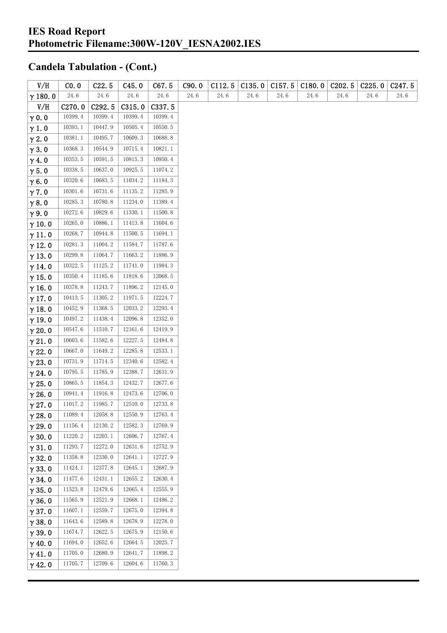| V/H            | CO. 0                | C22.5              | C45.0   | C67.5   | C90.0 | C112.5 | C135.0 | C157.5               | C180.0     | C <sub>2</sub> 02.5 | C225.0 | C <sub>247.5</sub> |
|----------------|----------------------|--------------------|---------|---------|-------|--------|--------|----------------------|------------|---------------------|--------|--------------------|
| $\gamma$ 180.0 | $24.\,\allowbreak 6$ | 24.6               | 24.6    | 24.6    | 24.6  | 24.6   | 24.6   | $24.\,\allowbreak 6$ | $24.\,\,6$ | 24.6                | 24.6   | 24.6               |
| V/H            | C <sub>270.0</sub>   | C <sub>292.5</sub> | C315.0  | C337.5  |       |        |        |                      |            |                     |        |                    |
| $\gamma$ 0.0   | 10399.4              | 10399.4            | 10399.4 | 10399.4 |       |        |        |                      |            |                     |        |                    |
| $\gamma$ 1.0   | 10393.1              | 10447.9            | 10505.4 | 10550.5 |       |        |        |                      |            |                     |        |                    |
| $\gamma$ 2.0   | 10381.1              | 10495.7            | 10609.3 | 10688.8 |       |        |        |                      |            |                     |        |                    |
| $\gamma$ 3.0   | 10368.3              | 10544.9            | 10715.4 | 10821.1 |       |        |        |                      |            |                     |        |                    |
| $\gamma$ 4.0   | 10353.5              | 10591.5            | 10815.3 | 10950.4 |       |        |        |                      |            |                     |        |                    |
| $\gamma$ 5.0   | 10338.5              | 10637.0            | 10925.5 | 11074.2 |       |        |        |                      |            |                     |        |                    |
| $\gamma$ 6.0   | 10320.6              | 10683.5            | 11034.2 | 11184.3 |       |        |        |                      |            |                     |        |                    |
| $\gamma$ 7.0   | 10301.6              | 10731.6            | 11135.2 | 11285.9 |       |        |        |                      |            |                     |        |                    |
| $\gamma$ 8.0   | 10285.3              | 10780.8            | 11234.0 | 11389.4 |       |        |        |                      |            |                     |        |                    |
| $\gamma$ 9.0   | 10272.6              | 10829.6            | 11330.1 | 11500.8 |       |        |        |                      |            |                     |        |                    |
| $\gamma$ 10.0  | 10265.0              | 10886.1            | 11413.8 | 11604.6 |       |        |        |                      |            |                     |        |                    |
| $\gamma$ 11.0  | 10268.7              | 10944.8            | 11500.5 | 11694.1 |       |        |        |                      |            |                     |        |                    |
| $\gamma$ 12.0  | 10281.3              | 11004.2            | 11584.7 | 11787.6 |       |        |        |                      |            |                     |        |                    |
| $\gamma$ 13.0  | 10299.8              | 11064.7            | 11663.2 | 11886.9 |       |        |        |                      |            |                     |        |                    |
| $\gamma$ 14.0  | 10322.5              | 11125.2            | 11741.0 | 11984.3 |       |        |        |                      |            |                     |        |                    |
| $\gamma$ 15.0  | 10350.4              | 11185.6            | 11818.6 | 12068.5 |       |        |        |                      |            |                     |        |                    |
| $\gamma$ 16.0  | 10378.8              | 11243.7            | 11896.2 | 12145.0 |       |        |        |                      |            |                     |        |                    |
| $\gamma$ 17.0  | 10413.5              | 11305.2            | 11971.5 | 12224.7 |       |        |        |                      |            |                     |        |                    |
| $\gamma$ 18.0  | 10452.9              | 11368.5            | 12033.2 | 12293.4 |       |        |        |                      |            |                     |        |                    |
| $\gamma$ 19.0  | 10497.2              | 11438.4            | 12096.8 | 12352.0 |       |        |        |                      |            |                     |        |                    |
| $\gamma$ 20.0  | 10547.6              | 11510.7            | 12161.6 | 12419.9 |       |        |        |                      |            |                     |        |                    |
| $\gamma$ 21.0  | 10603.6              | 11582.6            | 12227.5 | 12484.8 |       |        |        |                      |            |                     |        |                    |
| $\gamma$ 22.0  | 10667.0              | 11649.2            | 12285.8 | 12533.1 |       |        |        |                      |            |                     |        |                    |
| $\gamma$ 23.0  | 10731.9              | 11714.5            | 12340.6 | 12582.4 |       |        |        |                      |            |                     |        |                    |
| $\gamma$ 24.0  | 10795.5              | 11785.9            | 12388.7 | 12631.9 |       |        |        |                      |            |                     |        |                    |
| $\gamma$ 25.0  | 10865.5              | 11854.3            | 12432.7 | 12677.6 |       |        |        |                      |            |                     |        |                    |
| $\gamma$ 26.0  | 10941.4              | 11916.8            | 12473.6 | 12706.0 |       |        |        |                      |            |                     |        |                    |
| $\gamma$ 27.0  | 11017.2              | 11985.7            | 12510.0 | 12733.8 |       |        |        |                      |            |                     |        |                    |
| $\gamma$ 28.0  | 11089.4              | 12058.8            | 12550.9 | 12763.4 |       |        |        |                      |            |                     |        |                    |
| $\gamma$ 29.0  | 11156.4              | 12130.2            | 12582.3 | 12769.9 |       |        |        |                      |            |                     |        |                    |
| $\gamma$ 30.0  | 11220.2              | 12203.1            | 12606.7 | 12767.4 |       |        |        |                      |            |                     |        |                    |
| $\gamma$ 31.0  | 11293.7              | 12272.0            | 12631.6 | 12752.9 |       |        |        |                      |            |                     |        |                    |
| $\gamma$ 32.0  | 11358.8              | 12330.0            | 12641.1 | 12727.9 |       |        |        |                      |            |                     |        |                    |
| $\gamma$ 33.0  | 11424.1              | 12377.8            | 12645.1 | 12687.9 |       |        |        |                      |            |                     |        |                    |
| $\gamma$ 34.0  | 11477.6              | 12431.1            | 12655.2 | 12630.4 |       |        |        |                      |            |                     |        |                    |
| $\gamma$ 35.0  | 11523.8              | 12479.6            | 12665.4 | 12555.9 |       |        |        |                      |            |                     |        |                    |
| $\gamma$ 36.0  | 11565.9              | 12521.9            | 12668.1 | 12486.2 |       |        |        |                      |            |                     |        |                    |
| $\gamma$ 37.0  | 11607.1              | 12559.7            | 12675.0 | 12394.8 |       |        |        |                      |            |                     |        |                    |
| $\gamma$ 38.0  | 11643.6              | 12589.8            | 12678.9 | 12278.0 |       |        |        |                      |            |                     |        |                    |
| $\gamma$ 39.0  | 11674.7              | 12622.5            | 12675.9 | 12150.6 |       |        |        |                      |            |                     |        |                    |
| $\gamma$ 40.0  | 11694.0              | 12652.6            | 12664.5 | 12025.7 |       |        |        |                      |            |                     |        |                    |
| $\gamma$ 41.0  | 11705.0              | 12680.9            | 12641.7 | 11898.2 |       |        |        |                      |            |                     |        |                    |
| $\gamma$ 42.0  | 11705.7              | 12709.6            | 12604.6 | 11760.3 |       |        |        |                      |            |                     |        |                    |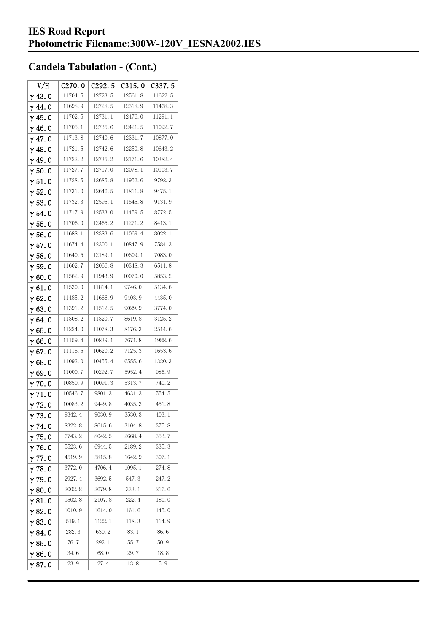| V/H            | C270.0  | C292.5  | C315.0  | C337.5  |
|----------------|---------|---------|---------|---------|
| $\gamma$ 43.0  | 11704.5 | 12723.5 | 12561.8 | 11622.5 |
| $\gamma$ 44.0  | 11698.9 | 12728.5 | 12518.9 | 11468.3 |
| $\gamma$ 45. 0 | 11702.5 | 12731.1 | 12476.0 | 11291.1 |
| $\gamma$ 46.0  | 11705.1 | 12735.6 | 12421.5 | 11092.7 |
| $\gamma$ 47.0  | 11713.8 | 12740.6 | 12331.7 | 10877.0 |
| $\gamma$ 48.0  | 11721.5 | 12742.6 | 12250.8 | 10643.2 |
| $\gamma$ 49.0  | 11722.2 | 12735.2 | 12171.6 | 10382.4 |
| $\gamma$ 50.0  | 11727.7 | 12717.0 | 12078.1 | 10103.7 |
| $\gamma$ 51.0  | 11728.5 | 12685.8 | 11952.6 | 9792.3  |
| $\gamma$ 52.0  | 11731.0 | 12646.5 | 11811.8 | 9475.1  |
| $\gamma$ 53.0  | 11732.3 | 12595.1 | 11645.8 | 9131.9  |
| $\gamma$ 54. 0 | 11717.9 | 12533.0 | 11459.5 | 8772.5  |
| $\gamma$ 55.0  | 11706.0 | 12465.2 | 11271.2 | 8413.1  |
| $\gamma$ 56. 0 | 11688.1 | 12383.6 | 11069.4 | 8022.1  |
| $\gamma$ 57.0  | 11674.4 | 12300.1 | 10847.9 | 7584.3  |
| $\gamma$ 58.0  | 11640.5 | 12189.1 | 10609.1 | 7083.0  |
| $\gamma$ 59.0  | 11602.7 | 12066.8 | 10348.3 | 6511.8  |
| $\gamma$ 60.0  | 11562.9 | 11943.9 | 10070.0 | 5853.2  |
| $\gamma$ 61.0  | 11530.0 | 11814.1 | 9746.0  | 5134.6  |
| $\gamma$ 62.0  | 11485.2 | 11666.9 | 9403.9  | 4435.0  |
| $\gamma$ 63.0  | 11391.2 | 11512.5 | 9029.9  | 3774.0  |
| $\gamma$ 64.0  | 11308.2 | 11320.7 | 8619.8  | 3125.2  |
| $\gamma$ 65.0  | 11224.0 | 11078.3 | 8176.3  | 2514.6  |
| γ66.0          | 11159.4 | 10839.1 | 7671.8  | 1988.6  |
| $\gamma$ 67.0  | 11116.5 | 10620.2 | 7125.3  | 1653.6  |
| $\gamma$ 68.0  | 11092.0 | 10455.4 | 6555.6  | 1320.3  |
| $\gamma$ 69.0  | 11000.7 | 10292.7 | 5952.4  | 986.9   |
| $\gamma$ 70.0  | 10850.9 | 10091.3 | 5313.7  | 740.2   |
| $\gamma$ 71.0  | 10546.7 | 9801.3  | 4631.3  | 554.5   |
| $\gamma$ 72.0  | 10083.2 | 9449.8  | 4035.3  | 451.8   |
| $\gamma$ 73.0  | 9342.4  | 9030.9  | 3530.3  | 403.1   |
| $\gamma$ 74.0  | 8322.8  | 8615.6  | 3104.8  | 375.8   |
| $\gamma$ 75.0  | 6743.2  | 8042.5  | 2668.4  | 353.7   |
| $\gamma$ 76.0  | 5523.6  | 6944.5  | 2189.2  | 335.3   |
| $\gamma$ 77.0  | 4519.9  | 5815.8  | 1642.9  | 307.1   |
| $\gamma$ 78.0  | 3772.0  | 4706.4  | 1095.1  | 274.8   |
| $\gamma$ 79.0  | 2927.4  | 3692.5  | 547.3   | 247.2   |
| $\gamma$ 80.0  | 2002.8  | 2679.8  | 333.1   | 216.6   |
| $\gamma$ 81.0  | 1502.8  | 2107.8  | 222.4   | 180.0   |
| $\gamma$ 82.0  | 1010.9  | 1614.0  | 161.6   | 145.0   |
| $\gamma$ 83.0  | 519.1   | 1122.1  | 118.3   | 114.9   |
| $\gamma$ 84.0  | 282.3   | 630. 2  | 83.1    | 86.6    |
| $\gamma$ 85.0  | 76.7    | 292.1   | 55.7    | 50.9    |
| $\gamma$ 86.0  | 34.6    | 68.0    | 29.7    | 18.8    |
| γ87.0          | 23.9    | 27.4    | 13.8    | 5.9     |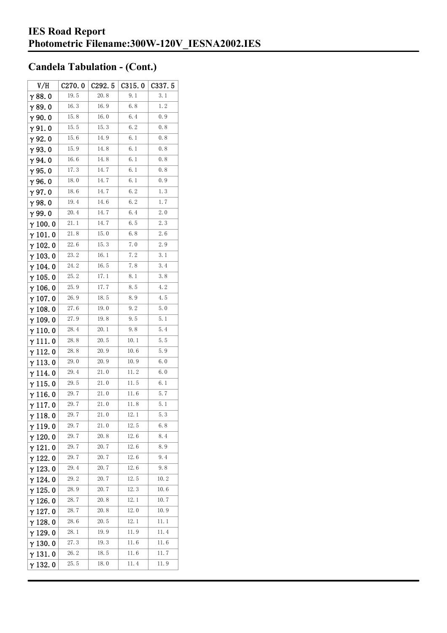| V/H             | C270.0 | C292.5      | C315.0 | C337.5 |
|-----------------|--------|-------------|--------|--------|
| $\gamma$ 88.0   | 19.5   | 20.8        | 9.1    | 3.1    |
| $\gamma$ 89.0   | 16.3   | 16.9        | 6.8    | 1.2    |
| $\gamma$ 90. 0  | 15.8   | 16.0        | 6.4    | 0.9    |
| $\gamma$ 91.0   | 15.5   | 15.3        | 6.2    | 0.8    |
| $\gamma$ 92.0   | 15.6   | 14.9        | 6. 1   | 0.8    |
| $\gamma$ 93. O  | 15.9   | 14.8        | 6. 1   | 0.8    |
| γ94.0           | 16.6   | 14.8        | 6.1    | 0.8    |
| $\gamma$ 95.0   | 17.3   | 14.7        | 6. 1   | 0.8    |
| $\gamma$ 96.0   | 18.0   | 14.7        | 6.1    | 0.9    |
| γ97.0           | 18.6   | 14.7        | 6.2    | 1.3    |
| $\gamma$ 98.0   | 19.4   | 14.6        | 6. 2   | 1.7    |
| $\gamma$ 99.0   | 20.4   | 14.7        | 6.4    | 2.0    |
| $\gamma$ 100.0  | 21.1   | 14.7        | 6.5    | 2.3    |
| $\gamma$ 101.0  | 21.8   | 15.0        | 6.8    | 2.6    |
| $\gamma$ 102.0  | 22.6   | 15.3        | 7.0    | 2.9    |
| $\gamma$ 103. 0 | 23. 2  | 16.1        | 7.2    | 3.1    |
| γ 104. 0        | 24.2   | 16. 5       | 7.8    | 3.4    |
| $\gamma$ 105.0  | 25.2   | 17.1        | 8.1    | 3.8    |
| $\gamma$ 106.0  | 25.9   | 17.7        | 8.5    | 4.2    |
| $\gamma$ 107. 0 | 26.9   | 18.5        | 8. 9   | 4.5    |
| $\gamma$ 108. 0 | 27.6   | 19.0        | 9.2    | 5.0    |
| $\gamma$ 109.0  | 27.9   | 19.8        | 9.5    | 5.1    |
| $\gamma$ 110. 0 | 28.4   | 20.1        | 9.8    | 5.4    |
| γ111.0          | 28.8   | <b>20.5</b> | 10.1   | 5.5    |
| $\gamma$ 112. 0 | 28.8   | 20.9        | 10.6   | 5.9    |
| $\gamma$ 113.0  | 29.0   | 20.9        | 10.9   | 6.0    |
| $\gamma$ 114. 0 | 29.4   | 21. 0       | 11.2   | 6.0    |
| $\gamma$ 115.0  | 29.5   | 21.0        | 11.5   | 6.1    |
| γ116.0          | 29.7   | 21.0        | 11.6   | 5.7    |
| $\gamma$ 117.0  | 29.7   | 21.0        | 11.8   | 5. 1   |
| $\gamma$ 118. 0 | 29.7   | 21.0        | 12. 1  | 5.3    |
| $\gamma$ 119.0  | 29.7   | 21.0        | 12.5   | 6.8    |
| $\gamma$ 120.0  | 29.7   | 20.8        | 12.6   | 8.4    |
| $\gamma$ 121.0  | 29.7   | 20.7        | 12.6   | 8.9    |
| $\gamma$ 122.0  | 29.7   | 20.7        | 12.6   | 9.4    |
| $\gamma$ 123.0  | 29.4   | 20.7        | 12.6   | 9.8    |
| $\gamma$ 124.0  | 29.2   | 20.7        | 12.5   | 10.2   |
| $\gamma$ 125.0  | 28.9   | 20.7        | 12.3   | 10.6   |
| $\gamma$ 126.0  | 28.7   | 20.8        | 12.1   | 10.7   |
| $\gamma$ 127. 0 | 28.7   | 20.8        | 12.0   | 10.9   |
| $\gamma$ 128.0  | 28.6   | 20.5        | 12.1   | 11.1   |
| $\gamma$ 129.0  | 28. 1  | 19. 9       | 11.9   | 11.4   |
| $\gamma$ 130. 0 | 27.3   | 19.3        | 11.6   | 11.6   |
| $\gamma$ 131.0  | 26. 2  | 18.5        | 11.6   | 11.7   |
| $\gamma$ 132. 0 | 25.5   | 18.0        | 11.4   | 11.9   |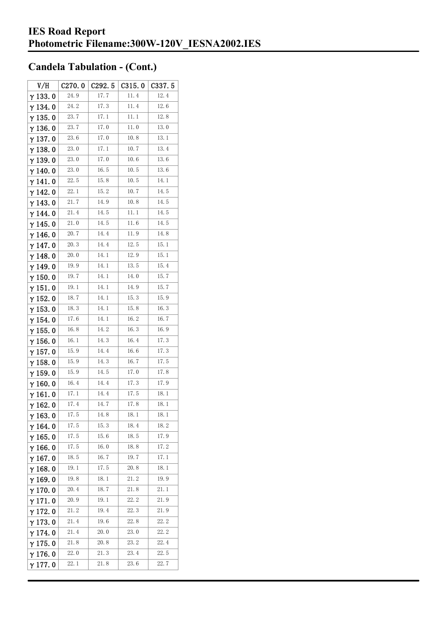| V/H             | C <sub>270.0</sub> | C <sub>292.5</sub> | C315.0 | C337.5 |
|-----------------|--------------------|--------------------|--------|--------|
| $\gamma$ 133.0  | 24.9               | 17.7               | 11.4   | 12.4   |
| γ134.0          | 24.2               | 17.3               | 11.4   | 12.6   |
| $\gamma$ 135. 0 | 23.7               | 17. 1              | 11.1   | 12.8   |
| $\gamma$ 136.0  | 23.7               | 17.0               | 11.0   | 13.0   |
| $\gamma$ 137.0  | 23.6               | 17.0               | 10.8   | 13.1   |
| $\gamma$ 138.0  | 23.0               | 17.1               | 10.7   | 13.4   |
| γ139.0          | 23.0               | 17.0               | 10.6   | 13.6   |
| $\gamma$ 140.0  | 23.0               | 16.5               | 10.5   | 13.6   |
| γ141.0          | 22.5               | 15.8               | 10.5   | 14.1   |
| $\gamma$ 142. 0 | 22. 1              | 15.2               | 10.7   | 14.5   |
| $\gamma$ 143.0  | 21.7               | 14. 9              | 10.8   | 14.5   |
| $\gamma$ 144. 0 | 21.4               | 14.5               | 11.1   | 14.5   |
| $\gamma$ 145. 0 | 21.0               | 14.5               | 11.6   | 14.5   |
| γ146.0          | 20.7               | 14.4               | 11.9   | 14.8   |
| γ147.0          | 20.3               | 14.4               | 12.5   | 15.1   |
| $\gamma$ 148.0  | 20.0               | 14.1               | 12.9   | 15.1   |
| $\gamma$ 149.0  | 19.9               | 14. 1              | 13.5   | 15.4   |
| $\gamma$ 150. 0 | 19.7               | 14.1               | 14.0   | 15.7   |
| $\gamma$ 151.0  | 19.1               | 14. 1              | 14. 9  | 15.7   |
| $\gamma$ 152. 0 | 18.7               | 14.1               | 15.3   | 15.9   |
| $\gamma$ 153. 0 | 18.3               | 14.1               | 15.8   | 16.3   |
| $\gamma$ 154. 0 | 17.6               | 14.1               | 16.2   | 16.7   |
| $\gamma$ 155. 0 | 16.8               | 14.2               | 16.3   | 16.9   |
| $\gamma$ 156.0  | 16.1               | 14.3               | 16.4   | 17.3   |
| $\gamma$ 157. 0 | 15.9               | 14.4               | 16.6   | 17.3   |
| $\gamma$ 158.0  | 15.9               | 14.3               | 16.7   | 17.5   |
| $\gamma$ 159.0  | 15.9               | 14.5               | 17.0   | 17.8   |
| $\gamma$ 160.0  | 16.4               | 14.4               | 17.3   | 17.9   |
| γ161.0          | 17.1               | 14.4               | 17.5   | 18.1   |
| $\gamma$ 162. 0 | 17.4               | 14.7               | 17.8   | 18.1   |
| $\gamma$ 163.0  | 17.5               | 14.8               | 18.1   | 18.1   |
| $\gamma$ 164. 0 | 17.5               | 15.3               | 18.4   | 18.2   |
| $\gamma$ 165.0  | 17.5               | 15.6               | 18.5   | 17.9   |
| $\gamma$ 166.0  | 17.5               | 16.0               | 18.8   | 17.2   |
| $\gamma$ 167.0  | 18.5               | 16.7               | 19.7   | 17.1   |
| $\gamma$ 168.0  | 19.1               | 17.5               | 20.8   | 18.1   |
| $\gamma$ 169.0  | 19.8               | 18.1               | 21.2   | 19.9   |
| $\gamma$ 170.0  | 20.4               | 18.7               | 21.8   | 21.1   |
| $\gamma$ 171.0  | 20.9               | 19. 1              | 22.2   | 21.9   |
| $\gamma$ 172. 0 | 21.2               | 19.4               | 22.3   | 21.9   |
| $\gamma$ 173.0  | 21.4               | 19.6               | 22.8   | 22.2   |
| $\gamma$ 174.0  | 21.4               | 20.0               | 23.0   | 22.2   |
| $\gamma$ 175.0  | 21.8               | 20.8               | 23.2   | 22.4   |
| $\gamma$ 176.0  | 22.0               | 21.3               | 23.4   | 22.5   |
| γ177.0          | 22.1               | 21.8               | 23.6   | 22.7   |